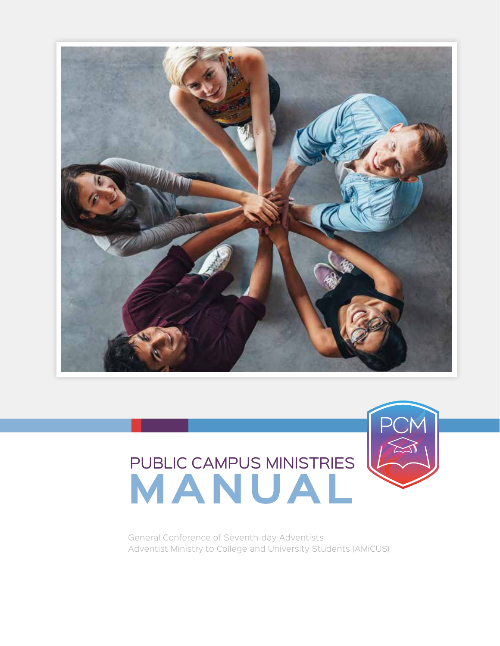

# PUBLIC CAMPUS MINISTRIES **MANUAL**



General Conference of Seventh-day Adventists Adventist Ministry to College and University Students (AMiCUS)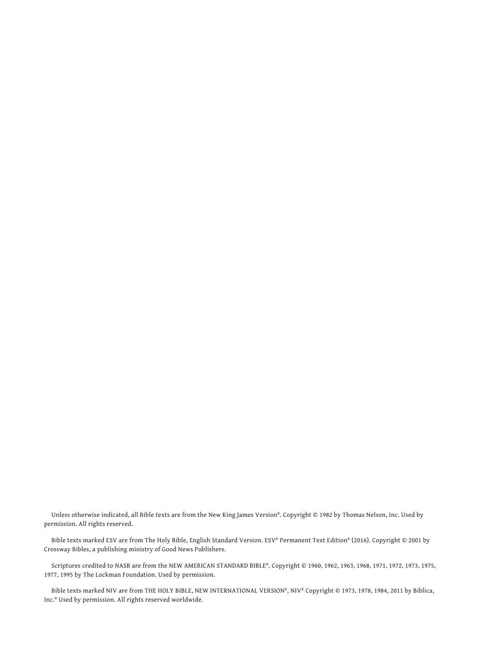Unless otherwise indicated, all Bible texts are from the New King James Version®. Copyright © 1982 by Thomas Nelson, Inc. Used by permission. All rights reserved.

Bible texts marked ESV are from The Holy Bible, English Standard Version. ESV® Permanent Text Edition® (2016). Copyright © 2001 by Crossway Bibles, a publishing ministry of Good News Publishers.

Scriptures credited to NASB are from the NEW AMERICAN STANDARD BIBLE®, Copyright © 1960, 1962, 1963, 1968, 1971, 1972, 1973, 1975, 1977, 1995 by The Lockman Foundation. Used by permission.

Bible texts marked NIV are from THE HOLY BIBLE, NEW INTERNATIONAL VERSION®, NIV® Copyright © 1973, 1978, 1984, 2011 by Biblica, Inc.® Used by permission. All rights reserved worldwide.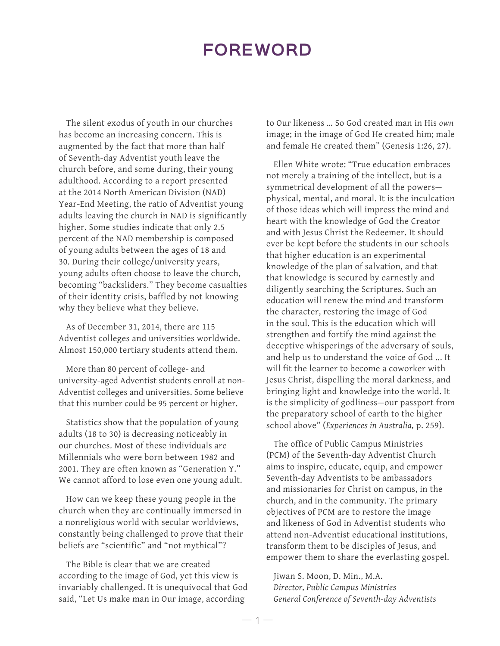## **FOREWORD**

The silent exodus of youth in our churches has become an increasing concern. This is augmented by the fact that more than half of Seventh-day Adventist youth leave the church before, and some during, their young adulthood. According to a report presented at the 2014 North American Division (NAD) Year-End Meeting, the ratio of Adventist young adults leaving the church in NAD is significantly higher. Some studies indicate that only 2.5 percent of the NAD membership is composed of young adults between the ages of 18 and 30. During their college/university years, young adults often choose to leave the church, becoming "backsliders." They become casualties of their identity crisis, baffled by not knowing why they believe what they believe.

As of December 31, 2014, there are 115 Adventist colleges and universities worldwide. Almost 150,000 tertiary students attend them.

More than 80 percent of college- and university-aged Adventist students enroll at non-Adventist colleges and universities. Some believe that this number could be 95 percent or higher.

Statistics show that the population of young adults (18 to 30) is decreasing noticeably in our churches. Most of these individuals are Millennials who were born between 1982 and 2001. They are often known as "Generation Y." We cannot afford to lose even one young adult.

How can we keep these young people in the church when they are continually immersed in a nonreligious world with secular worldviews, constantly being challenged to prove that their beliefs are "scientific" and "not mythical"?

The Bible is clear that we are created according to the image of God, yet this view is invariably challenged. It is unequivocal that God said, "Let Us make man in Our image, according

to Our likeness … So God created man in His *own*  image; in the image of God He created him; male and female He created them" (Genesis 1:26, 27).

Ellen White wrote: "True education embraces not merely a training of the intellect, but is a symmetrical development of all the powers physical, mental, and moral. It is the inculcation of those ideas which will impress the mind and heart with the knowledge of God the Creator and with Jesus Christ the Redeemer. It should ever be kept before the students in our schools that higher education is an experimental knowledge of the plan of salvation, and that that knowledge is secured by earnestly and diligently searching the Scriptures. Such an education will renew the mind and transform the character, restoring the image of God in the soul. This is the education which will strengthen and fortify the mind against the deceptive whisperings of the adversary of souls, and help us to understand the voice of God ... It will fit the learner to become a coworker with Jesus Christ, dispelling the moral darkness, and bringing light and knowledge into the world. It is the simplicity of godliness—our passport from the preparatory school of earth to the higher school above" (*Experiences in Australia,* p. 259).

The office of Public Campus Ministries (PCM) of the Seventh-day Adventist Church aims to inspire, educate, equip, and empower Seventh-day Adventists to be ambassadors and missionaries for Christ on campus, in the church, and in the community. The primary objectives of PCM are to restore the image and likeness of God in Adventist students who attend non-Adventist educational institutions, transform them to be disciples of Jesus, and empower them to share the everlasting gospel.

Jiwan S. Moon, D. Min., M.A. *Director, Public Campus Ministries General Conference of Seventh-day Adventists*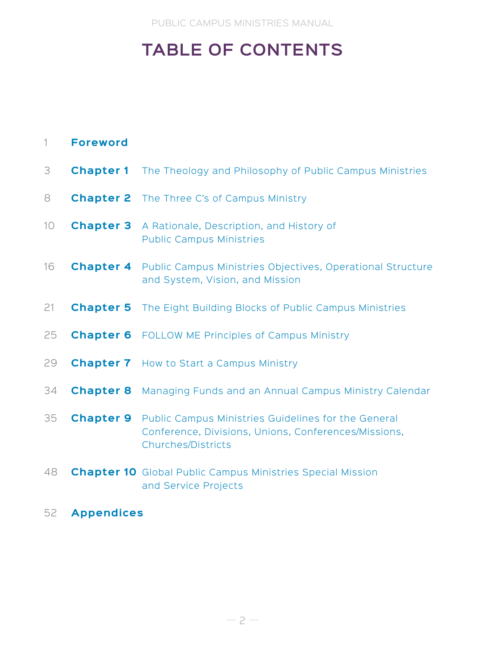PUBLIC CAMPUS MINISTRIES MANUAL

# **TABLE OF CONTENTS**

| $\left  \right $ | <b>Foreword</b>  |                                                                                                                                   |
|------------------|------------------|-----------------------------------------------------------------------------------------------------------------------------------|
| 3                | <b>Chapter 1</b> | The Theology and Philosophy of Public Campus Ministries                                                                           |
| 8                |                  | <b>Chapter 2</b> The Three C's of Campus Ministry                                                                                 |
| 10               | <b>Chapter 3</b> | A Rationale, Description, and History of<br><b>Public Campus Ministries</b>                                                       |
| 16               |                  | <b>Chapter 4</b> Public Campus Ministries Objectives, Operational Structure<br>and System, Vision, and Mission                    |
| 21               |                  | <b>Chapter 5</b> The Eight Building Blocks of Public Campus Ministries                                                            |
| 25               |                  | <b>Chapter 6</b> FOLLOW ME Principles of Campus Ministry                                                                          |
| 29               |                  | <b>Chapter 7</b> How to Start a Campus Ministry                                                                                   |
| 34               | <b>Chapter 8</b> | Managing Funds and an Annual Campus Ministry Calendar                                                                             |
| 35               | <b>Chapter 9</b> | Public Campus Ministries Guidelines for the General<br>Conference, Divisions, Unions, Conferences/Missions,<br>Churches/Districts |
| 48               |                  | <b>Chapter 10</b> Global Public Campus Ministries Special Mission<br>and Service Projects                                         |

52 **Appendices**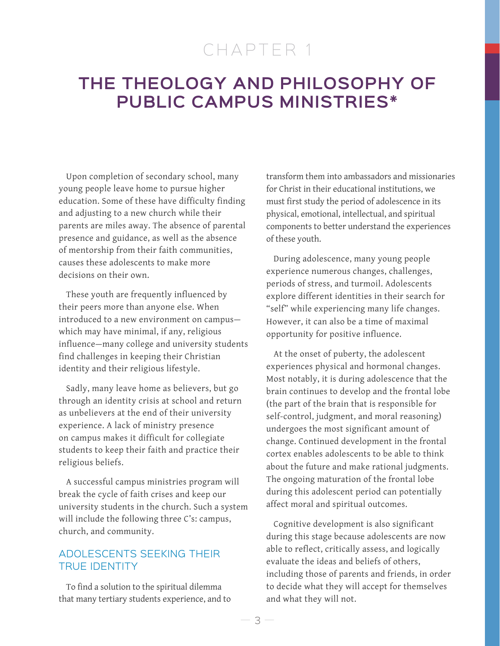# CHAPTER 1

## **THE THEOLOGY AND PHILOSOPHY OF PUBLIC CAMPUS MINISTRIES\***

Upon completion of secondary school, many young people leave home to pursue higher education. Some of these have difficulty finding and adjusting to a new church while their parents are miles away. The absence of parental presence and guidance, as well as the absence of mentorship from their faith communities, causes these adolescents to make more decisions on their own.

These youth are frequently influenced by their peers more than anyone else. When introduced to a new environment on campus which may have minimal, if any, religious influence—many college and university students find challenges in keeping their Christian identity and their religious lifestyle.

Sadly, many leave home as believers, but go through an identity crisis at school and return as unbelievers at the end of their university experience. A lack of ministry presence on campus makes it difficult for collegiate students to keep their faith and practice their religious beliefs.

A successful campus ministries program will break the cycle of faith crises and keep our university students in the church. Such a system will include the following three C's: campus, church, and community.

## ADOLESCENTS SEEKING THEIR TRUE IDENTITY

To find a solution to the spiritual dilemma that many tertiary students experience, and to transform them into ambassadors and missionaries for Christ in their educational institutions, we must first study the period of adolescence in its physical, emotional, intellectual, and spiritual components to better understand the experiences of these youth.

During adolescence, many young people experience numerous changes, challenges, periods of stress, and turmoil. Adolescents explore different identities in their search for "self" while experiencing many life changes. However, it can also be a time of maximal opportunity for positive influence.

At the onset of puberty, the adolescent experiences physical and hormonal changes. Most notably, it is during adolescence that the brain continues to develop and the frontal lobe (the part of the brain that is responsible for self-control, judgment, and moral reasoning) undergoes the most significant amount of change. Continued development in the frontal cortex enables adolescents to be able to think about the future and make rational judgments. The ongoing maturation of the frontal lobe during this adolescent period can potentially affect moral and spiritual outcomes.

Cognitive development is also significant during this stage because adolescents are now able to reflect, critically assess, and logically evaluate the ideas and beliefs of others, including those of parents and friends, in order to decide what they will accept for themselves and what they will not.

 $\beta$  —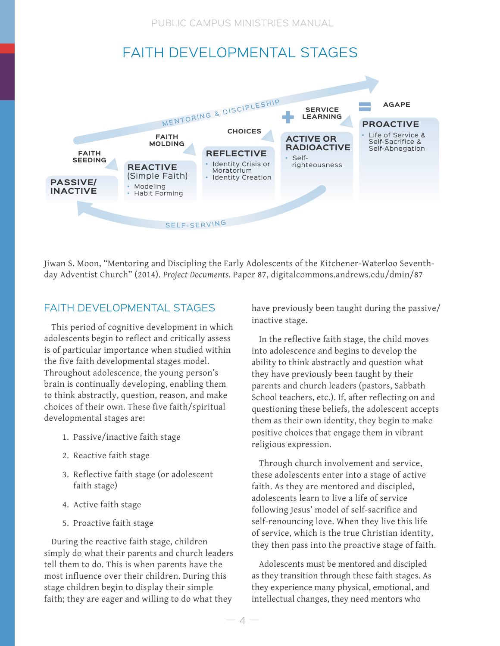PUBLIC CAMPUS MINISTRIES MANUAL

## FAITH DEVELOPMENTAL STAGES



Jiwan S. Moon, "Mentoring and Discipling the Early Adolescents of the Kitchener-Waterloo Seventhday Adventist Church" (2014). *Project Documents.* Paper 87, digitalcommons.andrews.edu/dmin/87

## FAITH DEVELOPMENTAL STAGES

This period of cognitive development in which adolescents begin to reflect and critically assess is of particular importance when studied within the five faith developmental stages model. Throughout adolescence, the young person's brain is continually developing, enabling them to think abstractly, question, reason, and make choices of their own. These five faith/spiritual developmental stages are:

- 1. Passive/inactive faith stage
- 2. Reactive faith stage
- 3. Reflective faith stage (or adolescent faith stage)
- 4. Active faith stage
- 5. Proactive faith stage

During the reactive faith stage, children simply do what their parents and church leaders tell them to do. This is when parents have the most influence over their children. During this stage children begin to display their simple faith; they are eager and willing to do what they

have previously been taught during the passive/ inactive stage.

In the reflective faith stage, the child moves into adolescence and begins to develop the ability to think abstractly and question what they have previously been taught by their parents and church leaders (pastors, Sabbath School teachers, etc.). If, after reflecting on and questioning these beliefs, the adolescent accepts them as their own identity, they begin to make positive choices that engage them in vibrant religious expression.

Through church involvement and service, these adolescents enter into a stage of active faith. As they are mentored and discipled, adolescents learn to live a life of service following Jesus' model of self-sacrifice and self-renouncing love. When they live this life of service, which is the true Christian identity, they then pass into the proactive stage of faith.

Adolescents must be mentored and discipled as they transition through these faith stages. As they experience many physical, emotional, and intellectual changes, they need mentors who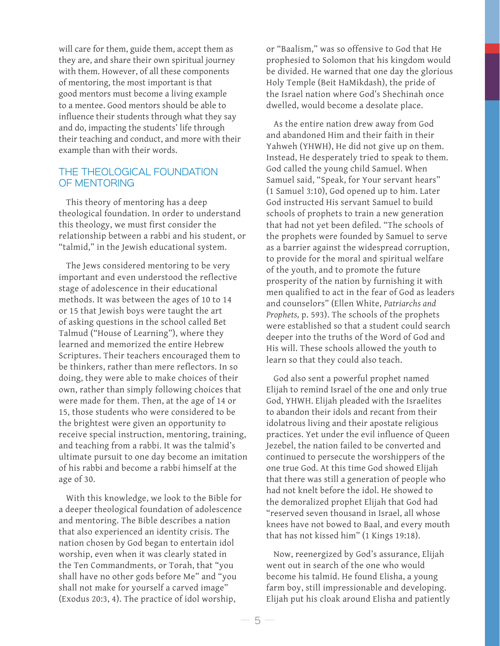will care for them, guide them, accept them as they are, and share their own spiritual journey with them. However, of all these components of mentoring, the most important is that good mentors must become a living example to a mentee. Good mentors should be able to influence their students through what they say and do, impacting the students' life through their teaching and conduct, and more with their example than with their words.

#### THE THEOLOGICAL FOUNDATION OF MENTORING

This theory of mentoring has a deep theological foundation. In order to understand this theology, we must first consider the relationship between a rabbi and his student, or "talmid," in the Jewish educational system.

The Jews considered mentoring to be very important and even understood the reflective stage of adolescence in their educational methods. It was between the ages of 10 to 14 or 15 that Jewish boys were taught the art of asking questions in the school called Bet Talmud ("House of Learning"), where they learned and memorized the entire Hebrew Scriptures. Their teachers encouraged them to be thinkers, rather than mere reflectors. In so doing, they were able to make choices of their own, rather than simply following choices that were made for them. Then, at the age of 14 or 15, those students who were considered to be the brightest were given an opportunity to receive special instruction, mentoring, training, and teaching from a rabbi. It was the talmid's ultimate pursuit to one day become an imitation of his rabbi and become a rabbi himself at the age of 30.

With this knowledge, we look to the Bible for a deeper theological foundation of adolescence and mentoring. The Bible describes a nation that also experienced an identity crisis. The nation chosen by God began to entertain idol worship, even when it was clearly stated in the Ten Commandments, or Torah, that "you shall have no other gods before Me" and "you shall not make for yourself a carved image" (Exodus 20:3, 4). The practice of idol worship,

or "Baalism," was so offensive to God that He prophesied to Solomon that his kingdom would be divided. He warned that one day the glorious Holy Temple (Beit HaMikdash), the pride of the Israel nation where God's Shechinah once dwelled, would become a desolate place.

As the entire nation drew away from God and abandoned Him and their faith in their Yahweh (YHWH), He did not give up on them. Instead, He desperately tried to speak to them. God called the young child Samuel. When Samuel said, "Speak, for Your servant hears" (1 Samuel 3:10), God opened up to him. Later God instructed His servant Samuel to build schools of prophets to train a new generation that had not yet been defiled. "The schools of the prophets were founded by Samuel to serve as a barrier against the widespread corruption, to provide for the moral and spiritual welfare of the youth, and to promote the future prosperity of the nation by furnishing it with men qualified to act in the fear of God as leaders and counselors" (Ellen White, *Patriarchs and Prophets,* p. 593). The schools of the prophets were established so that a student could search deeper into the truths of the Word of God and His will. These schools allowed the youth to learn so that they could also teach.

God also sent a powerful prophet named Elijah to remind Israel of the one and only true God, YHWH. Elijah pleaded with the Israelites to abandon their idols and recant from their idolatrous living and their apostate religious practices. Yet under the evil influence of Queen Jezebel, the nation failed to be converted and continued to persecute the worshippers of the one true God. At this time God showed Elijah that there was still a generation of people who had not knelt before the idol. He showed to the demoralized prophet Elijah that God had "reserved seven thousand in Israel, all whose knees have not bowed to Baal, and every mouth that has not kissed him" (1 Kings 19:18).

Now, reenergized by God's assurance, Elijah went out in search of the one who would become his talmid. He found Elisha, a young farm boy, still impressionable and developing. Elijah put his cloak around Elisha and patiently

5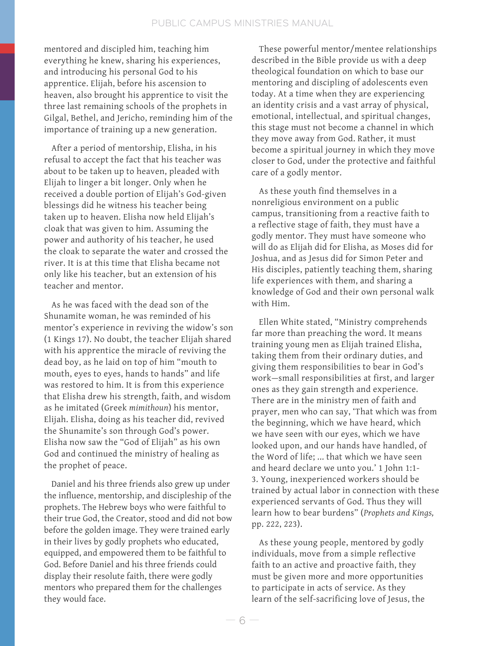mentored and discipled him, teaching him everything he knew, sharing his experiences, and introducing his personal God to his apprentice. Elijah, before his ascension to heaven, also brought his apprentice to visit the three last remaining schools of the prophets in Gilgal, Bethel, and Jericho, reminding him of the importance of training up a new generation.

After a period of mentorship, Elisha, in his refusal to accept the fact that his teacher was about to be taken up to heaven, pleaded with Elijah to linger a bit longer. Only when he received a double portion of Elijah's God-given blessings did he witness his teacher being taken up to heaven. Elisha now held Elijah's cloak that was given to him. Assuming the power and authority of his teacher, he used the cloak to separate the water and crossed the river. It is at this time that Elisha became not only like his teacher, but an extension of his teacher and mentor.

As he was faced with the dead son of the Shunamite woman, he was reminded of his mentor's experience in reviving the widow's son (1 Kings 17). No doubt, the teacher Elijah shared with his apprentice the miracle of reviving the dead boy, as he laid on top of him "mouth to mouth, eyes to eyes, hands to hands" and life was restored to him. It is from this experience that Elisha drew his strength, faith, and wisdom as he imitated (Greek *mimithoun*) his mentor, Elijah. Elisha, doing as his teacher did, revived the Shunamite's son through God's power. Elisha now saw the "God of Elijah" as his own God and continued the ministry of healing as the prophet of peace.

Daniel and his three friends also grew up under the influence, mentorship, and discipleship of the prophets. The Hebrew boys who were faithful to their true God, the Creator, stood and did not bow before the golden image. They were trained early in their lives by godly prophets who educated, equipped, and empowered them to be faithful to God. Before Daniel and his three friends could display their resolute faith, there were godly mentors who prepared them for the challenges they would face.

These powerful mentor/mentee relationships described in the Bible provide us with a deep theological foundation on which to base our mentoring and discipling of adolescents even today. At a time when they are experiencing an identity crisis and a vast array of physical, emotional, intellectual, and spiritual changes, this stage must not become a channel in which they move away from God. Rather, it must become a spiritual journey in which they move closer to God, under the protective and faithful care of a godly mentor.

As these youth find themselves in a nonreligious environment on a public campus, transitioning from a reactive faith to a reflective stage of faith, they must have a godly mentor. They must have someone who will do as Elijah did for Elisha, as Moses did for Joshua, and as Jesus did for Simon Peter and His disciples, patiently teaching them, sharing life experiences with them, and sharing a knowledge of God and their own personal walk with Him.

Ellen White stated, "Ministry comprehends far more than preaching the word. It means training young men as Elijah trained Elisha, taking them from their ordinary duties, and giving them responsibilities to bear in God's work—small responsibilities at first, and larger ones as they gain strength and experience. There are in the ministry men of faith and prayer, men who can say, 'That which was from the beginning, which we have heard, which we have seen with our eyes, which we have looked upon, and our hands have handled, of the Word of life; ... that which we have seen and heard declare we unto you.' 1 John 1:1- 3. Young, inexperienced workers should be trained by actual labor in connection with these experienced servants of God. Thus they will learn how to bear burdens" (*Prophets and Kings,* pp. 222, 223).

As these young people, mentored by godly individuals, move from a simple reflective faith to an active and proactive faith, they must be given more and more opportunities to participate in acts of service. As they learn of the self-sacrificing love of Jesus, the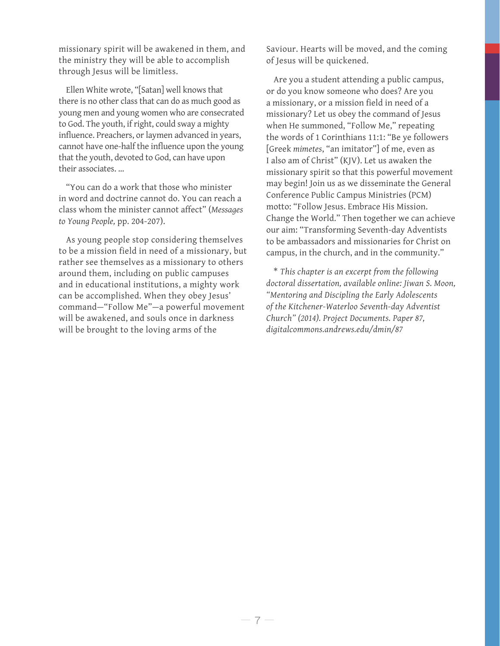missionary spirit will be awakened in them, and the ministry they will be able to accomplish through Jesus will be limitless.

Ellen White wrote, "[Satan] well knows that there is no other class that can do as much good as young men and young women who are consecrated to God. The youth, if right, could sway a mighty influence. Preachers, or laymen advanced in years, cannot have one-half the influence upon the young that the youth, devoted to God, can have upon their associates. …

"You can do a work that those who minister in word and doctrine cannot do. You can reach a class whom the minister cannot affect" (*Messages to Young People,* pp. 204-207).

As young people stop considering themselves to be a mission field in need of a missionary, but rather see themselves as a missionary to others around them, including on public campuses and in educational institutions, a mighty work can be accomplished. When they obey Jesus' command—"Follow Me"—a powerful movement will be awakened, and souls once in darkness will be brought to the loving arms of the

Saviour. Hearts will be moved, and the coming of Jesus will be quickened.

Are you a student attending a public campus, or do you know someone who does? Are you a missionary, or a mission field in need of a missionary? Let us obey the command of Jesus when He summoned, "Follow Me," repeating the words of 1 Corinthians 11:1: "Be ye followers [Greek *mimetes*, "an imitator"] of me, even as I also am of Christ" (KJV). Let us awaken the missionary spirit so that this powerful movement may begin! Join us as we disseminate the General Conference Public Campus Ministries (PCM) motto: "Follow Jesus. Embrace His Mission. Change the World." Then together we can achieve our aim: "Transforming Seventh-day Adventists to be ambassadors and missionaries for Christ on campus, in the church, and in the community."

\* *This chapter is an excerpt from the following doctoral dissertation, available online: Jiwan S. Moon, "Mentoring and Discipling the Early Adolescents of the Kitchener-Waterloo Seventh-day Adventist Church" (2014). Project Documents. Paper 87, digitalcommons.andrews.edu/dmin/87*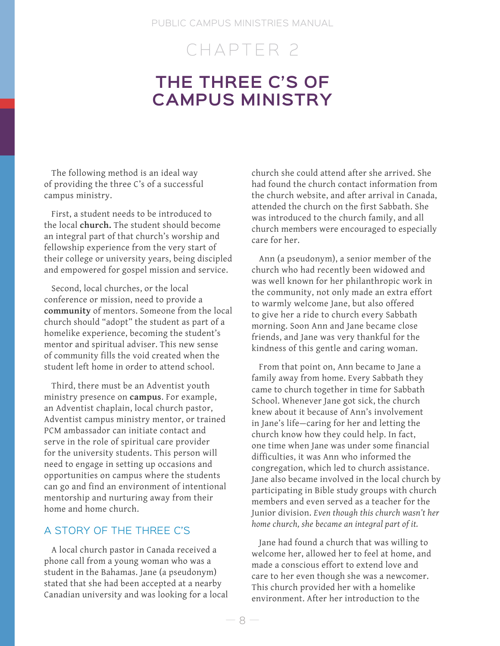#### PUBLIC CAMPUS MINISTRIES MANUAL

## CHAPTER 2

## **THE THREE C'S OF CAMPUS MINISTRY**

The following method is an ideal way of providing the three C's of a successful campus ministry.

First, a student needs to be introduced to the local **church.** The student should become an integral part of that church's worship and fellowship experience from the very start of their college or university years, being discipled and empowered for gospel mission and service.

Second, local churches, or the local conference or mission, need to provide a **community** of mentors. Someone from the local church should "adopt" the student as part of a homelike experience, becoming the student's mentor and spiritual adviser. This new sense of community fills the void created when the student left home in order to attend school.

Third, there must be an Adventist youth ministry presence on **campus**. For example, an Adventist chaplain, local church pastor, Adventist campus ministry mentor, or trained PCM ambassador can initiate contact and serve in the role of spiritual care provider for the university students. This person will need to engage in setting up occasions and opportunities on campus where the students can go and find an environment of intentional mentorship and nurturing away from their home and home church.

## A STORY OF THE THREE C'S

A local church pastor in Canada received a phone call from a young woman who was a student in the Bahamas. Jane (a pseudonym) stated that she had been accepted at a nearby Canadian university and was looking for a local church she could attend after she arrived. She had found the church contact information from the church website, and after arrival in Canada, attended the church on the first Sabbath. She was introduced to the church family, and all church members were encouraged to especially care for her.

Ann (a pseudonym), a senior member of the church who had recently been widowed and was well known for her philanthropic work in the community, not only made an extra effort to warmly welcome Jane, but also offered to give her a ride to church every Sabbath morning. Soon Ann and Jane became close friends, and Jane was very thankful for the kindness of this gentle and caring woman.

From that point on, Ann became to Jane a family away from home. Every Sabbath they came to church together in time for Sabbath School. Whenever Jane got sick, the church knew about it because of Ann's involvement in Jane's life—caring for her and letting the church know how they could help. In fact, one time when Jane was under some financial difficulties, it was Ann who informed the congregation, which led to church assistance. Jane also became involved in the local church by participating in Bible study groups with church members and even served as a teacher for the Junior division. *Even though this church wasn't her home church, she became an integral part of it.* 

Jane had found a church that was willing to welcome her, allowed her to feel at home, and made a conscious effort to extend love and care to her even though she was a newcomer. This church provided her with a homelike environment. After her introduction to the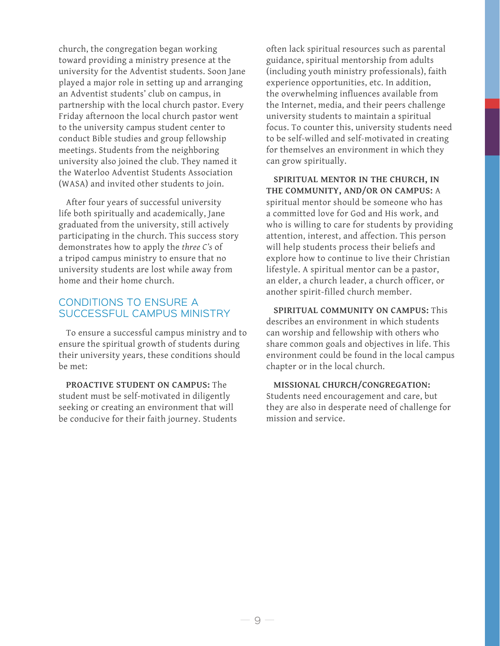church, the congregation began working toward providing a ministry presence at the university for the Adventist students. Soon Jane played a major role in setting up and arranging an Adventist students' club on campus, in partnership with the local church pastor. Every Friday afternoon the local church pastor went to the university campus student center to conduct Bible studies and group fellowship meetings. Students from the neighboring university also joined the club. They named it the Waterloo Adventist Students Association (WASA) and invited other students to join.

After four years of successful university life both spiritually and academically, Jane graduated from the university, still actively participating in the church. This success story demonstrates how to apply the *three C's* of a tripod campus ministry to ensure that no university students are lost while away from home and their home church.

#### CONDITIONS TO ENSURE A SUCCESSFUL CAMPUS MINISTRY

To ensure a successful campus ministry and to ensure the spiritual growth of students during their university years, these conditions should be met:

**PROACTIVE STUDENT ON CAMPUS:** The student must be self-motivated in diligently seeking or creating an environment that will be conducive for their faith journey. Students often lack spiritual resources such as parental guidance, spiritual mentorship from adults (including youth ministry professionals), faith experience opportunities, etc. In addition, the overwhelming influences available from the Internet, media, and their peers challenge university students to maintain a spiritual focus. To counter this, university students need to be self-willed and self-motivated in creating for themselves an environment in which they can grow spiritually.

**SPIRITUAL MENTOR IN THE CHURCH, IN THE COMMUNITY, AND/OR ON CAMPUS:** A spiritual mentor should be someone who has a committed love for God and His work, and who is willing to care for students by providing attention, interest, and affection. This person will help students process their beliefs and explore how to continue to live their Christian lifestyle. A spiritual mentor can be a pastor, an elder, a church leader, a church officer, or another spirit-filled church member.

**SPIRITUAL COMMUNITY ON CAMPUS:** This describes an environment in which students can worship and fellowship with others who share common goals and objectives in life. This environment could be found in the local campus chapter or in the local church.

**MISSIONAL CHURCH/CONGREGATION:**  Students need encouragement and care, but they are also in desperate need of challenge for mission and service.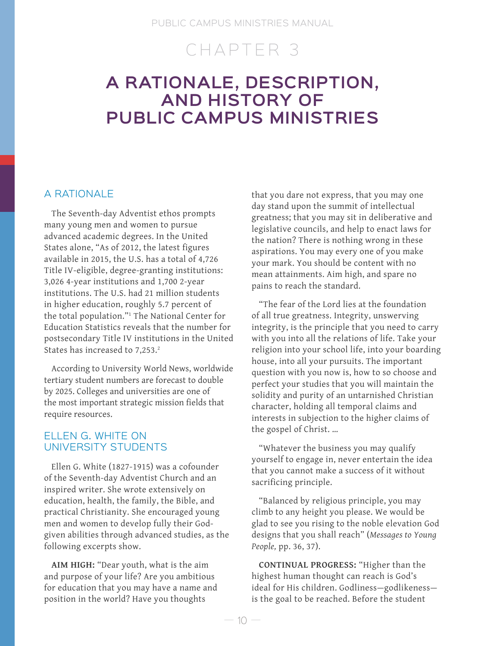## CHAPTER 3

## **A RATIONALE, DESCRIPTION, AND HISTORY OF PUBLIC CAMPUS MINISTRIES**

### A RATIONALE

The Seventh-day Adventist ethos prompts many young men and women to pursue advanced academic degrees. In the United States alone, "As of 2012, the latest figures available in 2015, the U.S. has a total of 4,726 Title IV-eligible, degree-granting institutions: 3,026 4-year institutions and 1,700 2-year institutions. The U.S. had 21 million students in higher education, roughly 5.7 percent of the total population."1 The National Center for Education Statistics reveals that the number for postsecondary Title IV institutions in the United States has increased to 7,253.<sup>2</sup>

According to University World News, worldwide tertiary student numbers are forecast to double by 2025. Colleges and universities are one of the most important strategic mission fields that require resources.

#### ELLEN G. WHITE ON UNIVERSITY STUDENTS

Ellen G. White (1827-1915) was a cofounder of the Seventh-day Adventist Church and an inspired writer. She wrote extensively on education, health, the family, the Bible, and practical Christianity. She encouraged young men and women to develop fully their Godgiven abilities through advanced studies, as the following excerpts show.

**AIM HIGH:** "Dear youth, what is the aim and purpose of your life? Are you ambitious for education that you may have a name and position in the world? Have you thoughts

that you dare not express, that you may one day stand upon the summit of intellectual greatness; that you may sit in deliberative and legislative councils, and help to enact laws for the nation? There is nothing wrong in these aspirations. You may every one of you make your mark. You should be content with no mean attainments. Aim high, and spare no pains to reach the standard.

"The fear of the Lord lies at the foundation of all true greatness. Integrity, unswerving integrity, is the principle that you need to carry with you into all the relations of life. Take your religion into your school life, into your boarding house, into all your pursuits. The important question with you now is, how to so choose and perfect your studies that you will maintain the solidity and purity of an untarnished Christian character, holding all temporal claims and interests in subjection to the higher claims of the gospel of Christ. …

"Whatever the business you may qualify yourself to engage in, never entertain the idea that you cannot make a success of it without sacrificing principle.

"Balanced by religious principle, you may climb to any height you please. We would be glad to see you rising to the noble elevation God designs that you shall reach" (*Messages to Young People,* pp. 36, 37).

**CONTINUAL PROGRESS:** "Higher than the highest human thought can reach is God's ideal for His children. Godliness—godlikeness is the goal to be reached. Before the student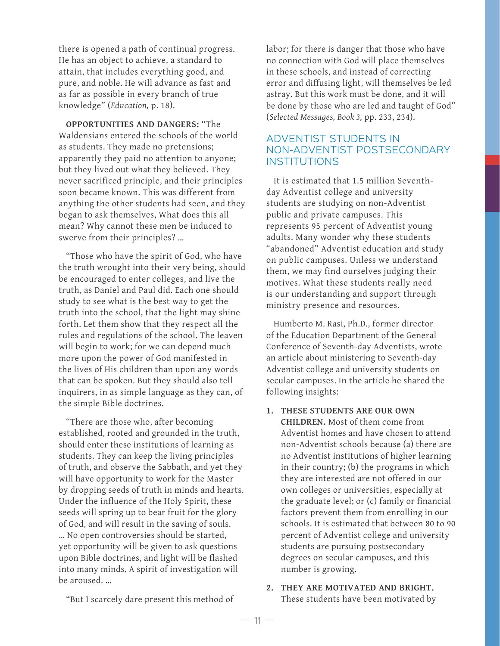there is opened a path of continual progress. He has an object to achieve, a standard to attain, that includes everything good, and pure, and noble. He will advance as fast and as far as possible in every branch of true knowledge" (*Education,* p. 18).

**OPPORTUNITIES AND DANGERS:** "The Waldensians entered the schools of the world as students. They made no pretensions; apparently they paid no attention to anyone; but they lived out what they believed. They never sacrificed principle, and their principles soon became known. This was different from anything the other students had seen, and they began to ask themselves, What does this all mean? Why cannot these men be induced to swerve from their principles? …

"Those who have the spirit of God, who have the truth wrought into their very being, should be encouraged to enter colleges, and live the truth, as Daniel and Paul did. Each one should study to see what is the best way to get the truth into the school, that the light may shine forth. Let them show that they respect all the rules and regulations of the school. The leaven will begin to work; for we can depend much more upon the power of God manifested in the lives of His children than upon any words that can be spoken. But they should also tell inquirers, in as simple language as they can, of the simple Bible doctrines.

"There are those who, after becoming established, rooted and grounded in the truth, should enter these institutions of learning as students. They can keep the living principles of truth, and observe the Sabbath, and yet they will have opportunity to work for the Master by dropping seeds of truth in minds and hearts. Under the influence of the Holy Spirit, these seeds will spring up to bear fruit for the glory of God, and will result in the saving of souls. … No open controversies should be started, yet opportunity will be given to ask questions upon Bible doctrines, and light will be flashed into many minds. A spirit of investigation will be aroused. …

"But I scarcely dare present this method of

labor; for there is danger that those who have no connection with God will place themselves in these schools, and instead of correcting error and diffusing light, will themselves be led astray. But this work must be done, and it will be done by those who are led and taught of God" (*Selected Messages, Book 3,* pp. 233, 234).

### ADVENTIST STUDENTS IN NON-ADVENTIST POSTSECONDARY INSTITUTIONS

It is estimated that 1.5 million Seventhday Adventist college and university students are studying on non-Adventist public and private campuses. This represents 95 percent of Adventist young adults. Many wonder why these students "abandoned" Adventist education and study on public campuses. Unless we understand them, we may find ourselves judging their motives. What these students really need is our understanding and support through ministry presence and resources.

Humberto M. Rasi, Ph.D., former director of the Education Department of the General Conference of Seventh-day Adventists, wrote an article about ministering to Seventh-day Adventist college and university students on secular campuses. In the article he shared the following insights:

**1. THESE STUDENTS ARE OUR OWN** 

**CHILDREN.** Most of them come from Adventist homes and have chosen to attend non-Adventist schools because (a) there are no Adventist institutions of higher learning in their country; (b) the programs in which they are interested are not offered in our own colleges or universities, especially at the graduate level; or (c) family or financial factors prevent them from enrolling in our schools. It is estimated that between 80 to 90 percent of Adventist college and university students are pursuing postsecondary degrees on secular campuses, and this number is growing.

**2. THEY ARE MOTIVATED AND BRIGHT.** These students have been motivated by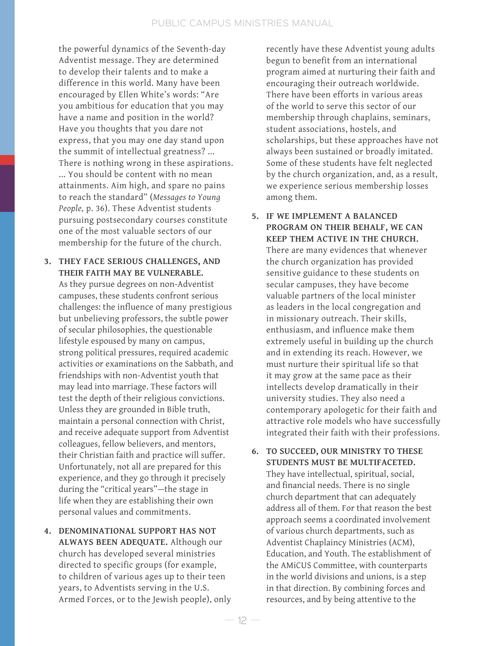the powerful dynamics of the Seventh-day Adventist message. They are determined to develop their talents and to make a difference in this world. Many have been encouraged by Ellen White's words: "Are you ambitious for education that you may have a name and position in the world? Have you thoughts that you dare not express, that you may one day stand upon the summit of intellectual greatness? ... There is nothing wrong in these aspirations. ... You should be content with no mean attainments. Aim high, and spare no pains to reach the standard" (*Messages to Young People,* p. 36). These Adventist students pursuing postsecondary courses constitute one of the most valuable sectors of our membership for the future of the church.

- **3. THEY FACE SERIOUS CHALLENGES, AND THEIR FAITH MAY BE VULNERABLE.** As they pursue degrees on non-Adventist campuses, these students confront serious challenges: the influence of many prestigious but unbelieving professors, the subtle power of secular philosophies, the questionable lifestyle espoused by many on campus, strong political pressures, required academic activities or examinations on the Sabbath, and friendships with non-Adventist youth that may lead into marriage. These factors will test the depth of their religious convictions. Unless they are grounded in Bible truth, maintain a personal connection with Christ, and receive adequate support from Adventist colleagues, fellow believers, and mentors, their Christian faith and practice will suffer. Unfortunately, not all are prepared for this experience, and they go through it precisely during the "critical years"—the stage in life when they are establishing their own personal values and commitments.
- **4. DENOMINATIONAL SUPPORT HAS NOT ALWAYS BEEN ADEQUATE.** Although our church has developed several ministries directed to specific groups (for example, to children of various ages up to their teen years, to Adventists serving in the U.S. Armed Forces, or to the Jewish people), only

recently have these Adventist young adults begun to benefit from an international program aimed at nurturing their faith and encouraging their outreach worldwide. There have been efforts in various areas of the world to serve this sector of our membership through chaplains, seminars, student associations, hostels, and scholarships, but these approaches have not always been sustained or broadly imitated. Some of these students have felt neglected by the church organization, and, as a result, we experience serious membership losses among them.

- **5. IF WE IMPLEMENT A BALANCED PROGRAM ON THEIR BEHALF, WE CAN KEEP THEM ACTIVE IN THE CHURCH.**  There are many evidences that whenever the church organization has provided sensitive guidance to these students on secular campuses, they have become valuable partners of the local minister as leaders in the local congregation and in missionary outreach. Their skills, enthusiasm, and influence make them extremely useful in building up the church and in extending its reach. However, we must nurture their spiritual life so that it may grow at the same pace as their intellects develop dramatically in their university studies. They also need a contemporary apologetic for their faith and attractive role models who have successfully integrated their faith with their professions.
- **6. TO SUCCEED, OUR MINISTRY TO THESE STUDENTS MUST BE MULTIFACETED.** They have intellectual, spiritual, social, and financial needs. There is no single church department that can adequately address all of them. For that reason the best approach seems a coordinated involvement of various church departments, such as Adventist Chaplaincy Ministries (ACM), Education, and Youth. The establishment of the AMiCUS Committee, with counterparts in the world divisions and unions, is a step in that direction. By combining forces and resources, and by being attentive to the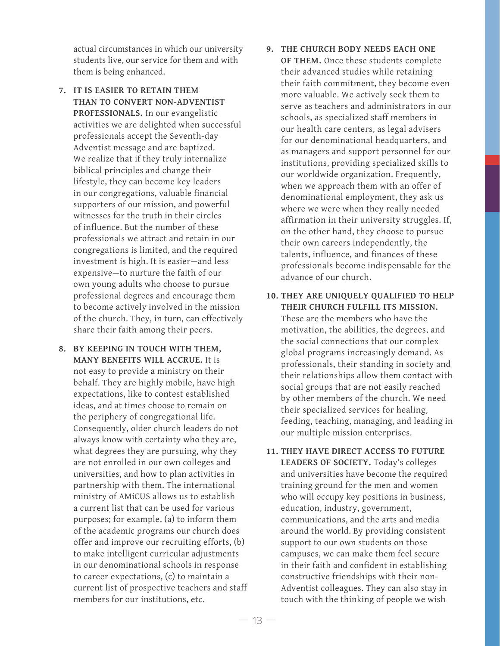actual circumstances in which our university students live, our service for them and with them is being enhanced.

- **7. IT IS EASIER TO RETAIN THEM THAN TO CONVERT NON-ADVENTIST PROFESSIONALS.** In our evangelistic activities we are delighted when successful professionals accept the Seventh-day Adventist message and are baptized. We realize that if they truly internalize biblical principles and change their lifestyle, they can become key leaders in our congregations, valuable financial supporters of our mission, and powerful witnesses for the truth in their circles of influence. But the number of these professionals we attract and retain in our congregations is limited, and the required investment is high. It is easier—and less expensive—to nurture the faith of our own young adults who choose to pursue professional degrees and encourage them to become actively involved in the mission of the church. They, in turn, can effectively share their faith among their peers.
- **8. BY KEEPING IN TOUCH WITH THEM, MANY BENEFITS WILL ACCRUE.** It is not easy to provide a ministry on their behalf. They are highly mobile, have high expectations, like to contest established ideas, and at times choose to remain on the periphery of congregational life. Consequently, older church leaders do not always know with certainty who they are, what degrees they are pursuing, why they are not enrolled in our own colleges and universities, and how to plan activities in partnership with them. The international ministry of AMiCUS allows us to establish a current list that can be used for various purposes; for example, (a) to inform them of the academic programs our church does offer and improve our recruiting efforts, (b) to make intelligent curricular adjustments in our denominational schools in response to career expectations, (c) to maintain a current list of prospective teachers and staff members for our institutions, etc.
- **9. THE CHURCH BODY NEEDS EACH ONE OF THEM.** Once these students complete their advanced studies while retaining their faith commitment, they become even more valuable. We actively seek them to serve as teachers and administrators in our schools, as specialized staff members in our health care centers, as legal advisers for our denominational headquarters, and as managers and support personnel for our institutions, providing specialized skills to our worldwide organization. Frequently, when we approach them with an offer of denominational employment, they ask us where we were when they really needed affirmation in their university struggles. If, on the other hand, they choose to pursue their own careers independently, the talents, influence, and finances of these professionals become indispensable for the advance of our church.
- **10. THEY ARE UNIQUELY QUALIFIED TO HELP THEIR CHURCH FULFILL ITS MISSION.**  These are the members who have the motivation, the abilities, the degrees, and the social connections that our complex global programs increasingly demand. As professionals, their standing in society and their relationships allow them contact with social groups that are not easily reached by other members of the church. We need their specialized services for healing, feeding, teaching, managing, and leading in our multiple mission enterprises.
- **11. THEY HAVE DIRECT ACCESS TO FUTURE LEADERS OF SOCIETY.** Today's colleges and universities have become the required training ground for the men and women who will occupy key positions in business, education, industry, government, communications, and the arts and media around the world. By providing consistent support to our own students on those campuses, we can make them feel secure in their faith and confident in establishing constructive friendships with their non-Adventist colleagues. They can also stay in touch with the thinking of people we wish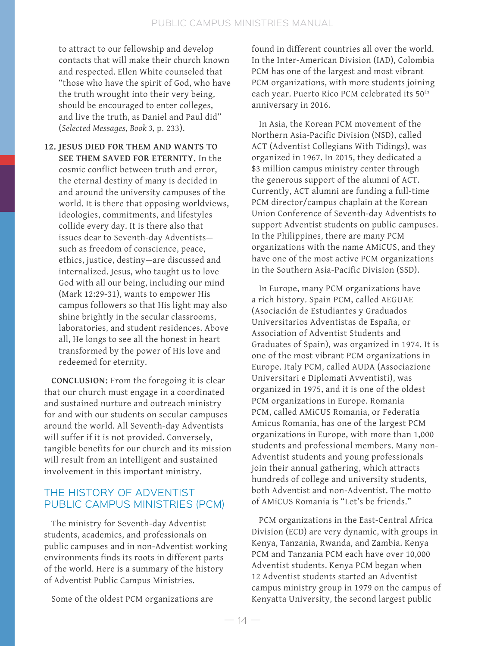to attract to our fellowship and develop contacts that will make their church known and respected. Ellen White counseled that "those who have the spirit of God, who have the truth wrought into their very being, should be encouraged to enter colleges, and live the truth, as Daniel and Paul did" (*Selected Messages, Book 3,* p. 233).

**12. JESUS DIED FOR THEM AND WANTS TO SEE THEM SAVED FOR ETERNITY.** In the cosmic conflict between truth and error, the eternal destiny of many is decided in and around the university campuses of the world. It is there that opposing worldviews, ideologies, commitments, and lifestyles collide every day. It is there also that issues dear to Seventh-day Adventists such as freedom of conscience, peace, ethics, justice, destiny—are discussed and internalized. Jesus, who taught us to love God with all our being, including our mind (Mark 12:29-31), wants to empower His campus followers so that His light may also shine brightly in the secular classrooms, laboratories, and student residences. Above all, He longs to see all the honest in heart transformed by the power of His love and redeemed for eternity.

**CONCLUSION:** From the foregoing it is clear that our church must engage in a coordinated and sustained nurture and outreach ministry for and with our students on secular campuses around the world. All Seventh-day Adventists will suffer if it is not provided. Conversely, tangible benefits for our church and its mission will result from an intelligent and sustained involvement in this important ministry.

### THE HISTORY OF ADVENTIST PUBLIC CAMPUS MINISTRIES (PCM)

The ministry for Seventh-day Adventist students, academics, and professionals on public campuses and in non-Adventist working environments finds its roots in different parts of the world. Here is a summary of the history of Adventist Public Campus Ministries.

Some of the oldest PCM organizations are

found in different countries all over the world. In the Inter-American Division (IAD), Colombia PCM has one of the largest and most vibrant PCM organizations, with more students joining each year. Puerto Rico PCM celebrated its 50<sup>th</sup> anniversary in 2016.

In Asia, the Korean PCM movement of the Northern Asia-Pacific Division (NSD), called ACT (Adventist Collegians With Tidings), was organized in 1967. In 2015, they dedicated a \$3 million campus ministry center through the generous support of the alumni of ACT. Currently, ACT alumni are funding a full-time PCM director/campus chaplain at the Korean Union Conference of Seventh-day Adventists to support Adventist students on public campuses. In the Philippines, there are many PCM organizations with the name AMiCUS, and they have one of the most active PCM organizations in the Southern Asia-Pacific Division (SSD).

In Europe, many PCM organizations have a rich history. Spain PCM, called AEGUAE (Asociación de Estudiantes y Graduados Universitarios Adventistas de España, or Association of Adventist Students and Graduates of Spain), was organized in 1974. It is one of the most vibrant PCM organizations in Europe. Italy PCM, called AUDA (Associazione Universitari e Diplomati Avventisti), was organized in 1975, and it is one of the oldest PCM organizations in Europe. Romania PCM, called AMiCUS Romania, or Federatia Amicus Romania, has one of the largest PCM organizations in Europe, with more than 1,000 students and professional members. Many non-Adventist students and young professionals join their annual gathering, which attracts hundreds of college and university students, both Adventist and non-Adventist. The motto of AMiCUS Romania is "Let's be friends."

PCM organizations in the East-Central Africa Division (ECD) are very dynamic, with groups in Kenya, Tanzania, Rwanda, and Zambia. Kenya PCM and Tanzania PCM each have over 10,000 Adventist students. Kenya PCM began when 12 Adventist students started an Adventist campus ministry group in 1979 on the campus of Kenyatta University, the second largest public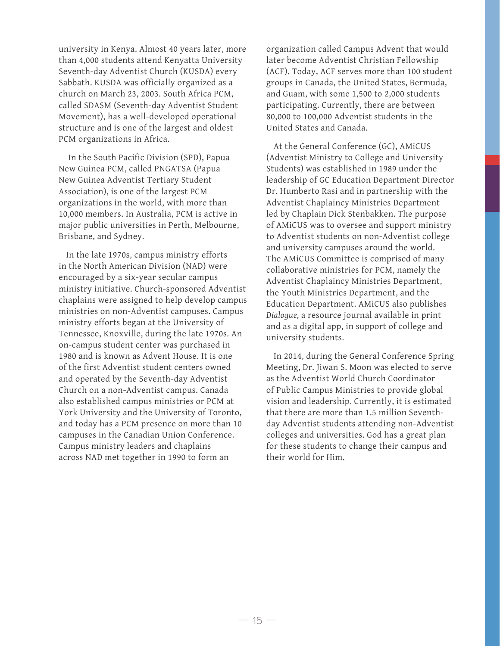university in Kenya. Almost 40 years later, more than 4,000 students attend Kenyatta University Seventh-day Adventist Church (KUSDA) every Sabbath. KUSDA was officially organized as a church on March 23, 2003. South Africa PCM, called SDASM (Seventh-day Adventist Student Movement), has a well-developed operational structure and is one of the largest and oldest PCM organizations in Africa.

 In the South Pacific Division (SPD), Papua New Guinea PCM, called PNGATSA (Papua New Guinea Adventist Tertiary Student Association), is one of the largest PCM organizations in the world, with more than 10,000 members. In Australia, PCM is active in major public universities in Perth, Melbourne, Brisbane, and Sydney.

In the late 1970s, campus ministry efforts in the North American Division (NAD) were encouraged by a six-year secular campus ministry initiative. Church-sponsored Adventist chaplains were assigned to help develop campus ministries on non-Adventist campuses. Campus ministry efforts began at the University of Tennessee, Knoxville, during the late 1970s. An on-campus student center was purchased in 1980 and is known as Advent House. It is one of the first Adventist student centers owned and operated by the Seventh-day Adventist Church on a non-Adventist campus. Canada also established campus ministries or PCM at York University and the University of Toronto, and today has a PCM presence on more than 10 campuses in the Canadian Union Conference. Campus ministry leaders and chaplains across NAD met together in 1990 to form an

organization called Campus Advent that would later become Adventist Christian Fellowship (ACF). Today, ACF serves more than 100 student groups in Canada, the United States, Bermuda, and Guam, with some 1,500 to 2,000 students participating. Currently, there are between 80,000 to 100,000 Adventist students in the United States and Canada.

At the General Conference (GC), AMiCUS (Adventist Ministry to College and University Students) was established in 1989 under the leadership of GC Education Department Director Dr. Humberto Rasi and in partnership with the Adventist Chaplaincy Ministries Department led by Chaplain Dick Stenbakken. The purpose of AMiCUS was to oversee and support ministry to Adventist students on non-Adventist college and university campuses around the world. The AMiCUS Committee is comprised of many collaborative ministries for PCM, namely the Adventist Chaplaincy Ministries Department, the Youth Ministries Department, and the Education Department. AMiCUS also publishes *Dialogue,* a resource journal available in print and as a digital app, in support of college and university students.

In 2014, during the General Conference Spring Meeting, Dr. Jiwan S. Moon was elected to serve as the Adventist World Church Coordinator of Public Campus Ministries to provide global vision and leadership. Currently, it is estimated that there are more than 1.5 million Seventhday Adventist students attending non-Adventist colleges and universities. God has a great plan for these students to change their campus and their world for Him.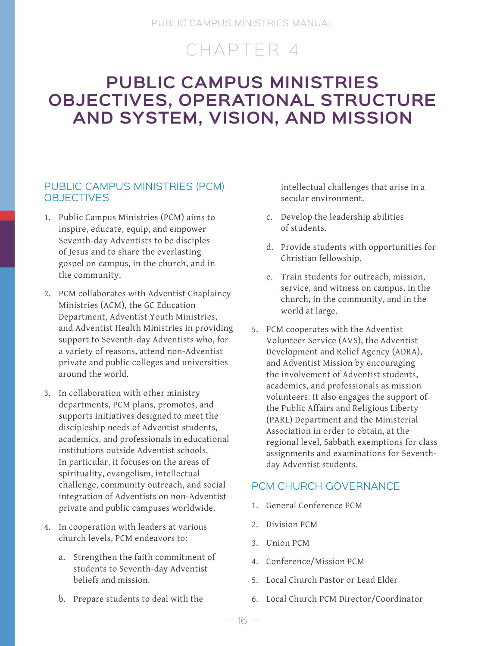# CHAPTER 4

## **PUBLIC CAMPUS MINISTRIES OBJECTIVES, OPERATIONAL STRUCTURE AND SYSTEM, VISION, AND MISSION**

## PUBLIC CAMPUS MINISTRIES (PCM) **OBJECTIVES**

- 1. Public Campus Ministries (PCM) aims to inspire, educate, equip, and empower Seventh-day Adventists to be disciples of Jesus and to share the everlasting gospel on campus, in the church, and in the community.
- 2. PCM collaborates with Adventist Chaplaincy Ministries (ACM), the GC Education Department, Adventist Youth Ministries, and Adventist Health Ministries in providing support to Seventh-day Adventists who, for a variety of reasons, attend non-Adventist private and public colleges and universities around the world.
- 3. In collaboration with other ministry departments, PCM plans, promotes, and supports initiatives designed to meet the discipleship needs of Adventist students, academics, and professionals in educational institutions outside Adventist schools. In particular, it focuses on the areas of spirituality, evangelism, intellectual challenge, community outreach, and social integration of Adventists on non-Adventist private and public campuses worldwide.
- 4. In cooperation with leaders at various church levels, PCM endeavors to:
	- a. Strengthen the faith commitment of students to Seventh-day Adventist beliefs and mission.
	- b. Prepare students to deal with the

intellectual challenges that arise in a secular environment.

- c. Develop the leadership abilities of students.
- d. Provide students with opportunities for Christian fellowship.
- e. Train students for outreach, mission, service, and witness on campus, in the church, in the community, and in the world at large.
- 5. PCM cooperates with the Adventist Volunteer Service (AVS), the Adventist Development and Relief Agency (ADRA), and Adventist Mission by encouraging the involvement of Adventist students, academics, and professionals as mission volunteers. It also engages the support of the Public Affairs and Religious Liberty (PARL) Department and the Ministerial Association in order to obtain, at the regional level, Sabbath exemptions for class assignments and examinations for Seventhday Adventist students.

## PCM CHURCH GOVERNANCE

- 1. General Conference PCM
- 2. Division PCM
- 3. Union PCM
- 4. Conference/Mission PCM
- 5. Local Church Pastor or Lead Elder
- 6. Local Church PCM Director/Coordinator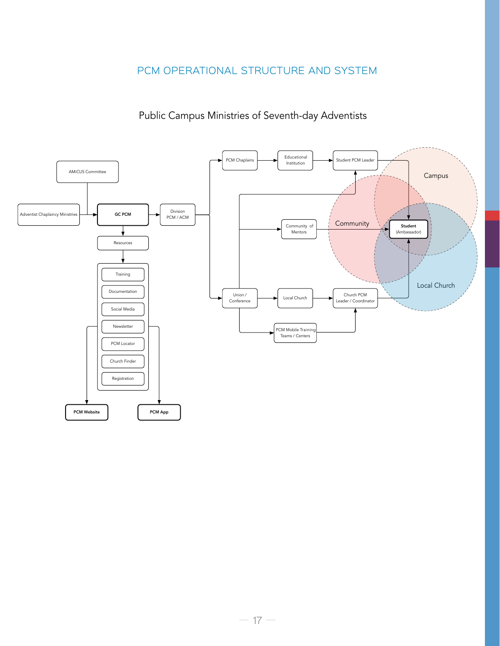## PCM OPERATIONAL STRUCTURE AND SYSTEM

## Public Campus Ministries of Seventh-day Adventists

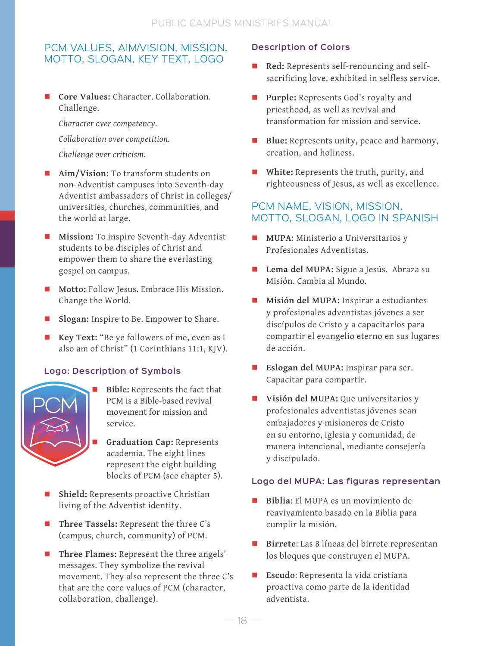## PCM VALUES, AIM/VISION, MISSION, MOTTO, SLOGAN, KEY TEXT, LOGO

 **Core Values:** Character. Collaboration. Challenge.

*Character over competency.*

*Collaboration over competition.*

*Challenge over criticism.*

- **Aim/Vision:** To transform students on non-Adventist campuses into Seventh-day Adventist ambassadors of Christ in colleges/ universities, churches, communities, and the world at large.
- **Mission:** To inspire Seventh-day Adventist students to be disciples of Christ and empower them to share the everlasting gospel on campus.
- **Motto:** Follow Jesus. Embrace His Mission. Change the World.
- **Slogan:** Inspire to Be. Empower to Share.
- **Key Text:** "Be ye followers of me, even as I also am of Christ" (1 Corinthians 11:1, KJV).

## **Logo: Description of Symbols**



- **Bible:** Represents the fact that PCM is a Bible-based revival movement for mission and service.
	- **Graduation Cap:** Represents academia. The eight lines represent the eight building blocks of PCM (see chapter 5).
- **Shield:** Represents proactive Christian living of the Adventist identity.
- **Three Tassels:** Represent the three C's (campus, church, community) of PCM.
- Three Flames: Represent the three angels' messages. They symbolize the revival movement. They also represent the three C's that are the core values of PCM (character, collaboration, challenge).

### **Description of Colors**

- **Red:** Represents self-renouncing and selfsacrificing love, exhibited in selfless service.
- **Purple:** Represents God's royalty and priesthood, as well as revival and transformation for mission and service.
- **Blue:** Represents unity, peace and harmony, creation, and holiness.
- **White:** Represents the truth, purity, and righteousness of Jesus, as well as excellence.

## PCM NAME, VISION, MISSION, MOTTO, SLOGAN, LOGO IN SPANISH

- **MUPA**: Ministerio a Universitarios y Profesionales Adventistas.
- **Lema del MUPA:** Sigue a Jesús. Abraza su Misión. Cambia al Mundo.
- **Misión del MUPA:** Inspirar a estudiantes y profesionales adventistas jóvenes a ser discípulos de Cristo y a capacitarlos para compartir el evangelio eterno en sus lugares de acción.
- **Eslogan del MUPA:** Inspirar para ser. Capacitar para compartir.
- **Visión del MUPA:** Que universitarios y profesionales adventistas jóvenes sean embajadores y misioneros de Cristo en su entorno, iglesia y comunidad, de manera intencional, mediante consejería y discipulado.

#### **Logo del MUPA: Las figuras representan**

- **Biblia**: El MUPA es un movimiento de reavivamiento basado en la Biblia para cumplir la misión.
- **Birrete**: Las 8 líneas del birrete representan los bloques que construyen el MUPA.
- **Escudo**: Representa la vida cristiana proactiva como parte de la identidad adventista.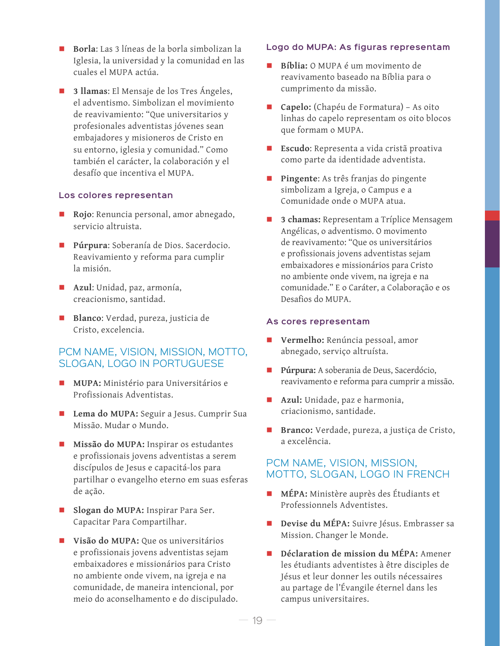- **Borla**: Las 3 líneas de la borla simbolizan la Iglesia, la universidad y la comunidad en las cuales el MUPA actúa.
- **3 llamas**: El Mensaje de los Tres Ángeles, el adventismo. Simbolizan el movimiento de reavivamiento: "Que universitarios y profesionales adventistas jóvenes sean embajadores y misioneros de Cristo en su entorno, iglesia y comunidad." Como también el carácter, la colaboración y el desafío que incentiva el MUPA.

#### **Los colores representan**

- **Rojo**: Renuncia personal, amor abnegado, servicio altruista.
- **Púrpura**: Soberanía de Dios. Sacerdocio. Reavivamiento y reforma para cumplir la misión.
- **Azul**: Unidad, paz, armonía, creacionismo, santidad.
- **Blanco**: Verdad, pureza, justicia de Cristo, excelencia.

#### PCM NAME, VISION, MISSION, MOTTO, SLOGAN, LOGO IN PORTUGUESE

- **MUPA:** Ministério para Universitários e Profissionais Adventistas.
- Lema do MUPA: Seguir a Jesus. Cumprir Sua Missão. Mudar o Mundo.
- **Missão do MUPA:** Inspirar os estudantes e profissionais jovens adventistas a serem discípulos de Jesus e capacitá-los para partilhar o evangelho eterno em suas esferas de ação.
- **Slogan do MUPA:** Inspirar Para Ser. Capacitar Para Compartilhar.
- **Visão do MUPA:** Que os universitários e profissionais jovens adventistas sejam embaixadores e missionários para Cristo no ambiente onde vivem, na igreja e na comunidade, de maneira intencional, por meio do aconselhamento e do discipulado.

#### **Logo do MUPA: As figuras representam**

- **Bíblia:** O MUPA é um movimento de reavivamento baseado na Bíblia para o cumprimento da missão.
- **Capelo:** (Chapéu de Formatura) As oito linhas do capelo representam os oito blocos que formam o MUPA.
- **Escudo**: Representa a vida cristã proativa como parte da identidade adventista.
- **Pingente**: As três franjas do pingente simbolizam a Igreja, o Campus e a Comunidade onde o MUPA atua.
- **3 chamas:** Representam a Tríplice Mensagem Angélicas, o adventismo. O movimento de reavivamento: "Que os universitários e profissionais jovens adventistas sejam embaixadores e missionários para Cristo no ambiente onde vivem, na igreja e na comunidade." E o Caráter, a Colaboração e os Desafios do MUPA.

#### **As cores representam**

- **Vermelho:** Renúncia pessoal, amor abnegado, serviço altruísta.
- **Púrpura:** A soberania de Deus, Sacerdócio, reavivamento e reforma para cumprir a missão.
- **Azul:** Unidade, paz e harmonia, criacionismo, santidade.
- **Branco:** Verdade, pureza, a justiça de Cristo, a excelência.

#### PCM NAME, VISION, MISSION, MOTTO, SLOGAN, LOGO IN FRENCH

- **MÉPA:** Ministère auprès des Étudiants et Professionnels Adventistes.
- **Devise du MÉPA:** Suivre Jésus. Embrasser sa Mission. Changer le Monde.
- **Déclaration de mission du MÉPA:** Amener les étudiants adventistes à être disciples de Jésus et leur donner les outils nécessaires au partage de l'Évangile éternel dans les campus universitaires.

 $19 -$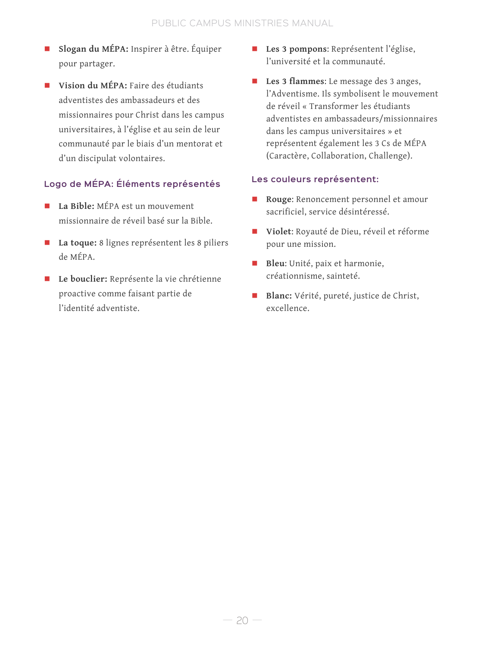- **Slogan du MÉPA:** Inspirer à être. Équiper pour partager.
- **Vision du MÉPA:** Faire des étudiants adventistes des ambassadeurs et des missionnaires pour Christ dans les campus universitaires, à l'église et au sein de leur communauté par le biais d'un mentorat et d'un discipulat volontaires.

## **Logo de MÉPA: Éléments représentés**

- **La Bible:** MÉPA est un mouvement missionnaire de réveil basé sur la Bible.
- **La toque:** 8 lignes représentent les 8 piliers de MÉPA.
- **Le bouclier:** Représente la vie chrétienne proactive comme faisant partie de l'identité adventiste.
- **Les 3 pompons**: Représentent l'église, l'université et la communauté.
- **Les 3 flammes**: Le message des 3 anges, l'Adventisme. Ils symbolisent le mouvement de réveil « Transformer les étudiants adventistes en ambassadeurs/missionnaires dans les campus universitaires » et représentent également les 3 Cs de MÉPA (Caractère, Collaboration, Challenge).

#### **Les couleurs représentent:**

- **Rouge**: Renoncement personnel et amour sacrificiel, service désintéressé.
- **Violet**: Royauté de Dieu, réveil et réforme pour une mission.
- **Bleu**: Unité, paix et harmonie, créationnisme, sainteté.
- **Blanc:** Vérité, pureté, justice de Christ, excellence.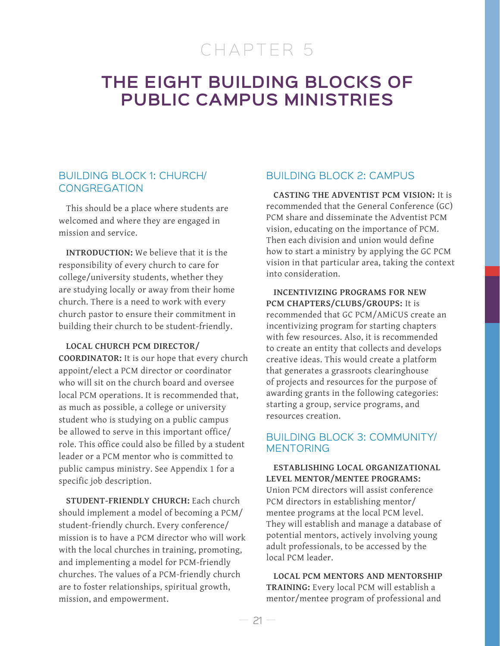# CHAPTER 5

## **THE EIGHT BUILDING BLOCKS OF PUBLIC CAMPUS MINISTRIES**

### BUILDING BLOCK 1: CHURCH/ **CONGREGATION**

This should be a place where students are welcomed and where they are engaged in mission and service.

**INTRODUCTION:** We believe that it is the responsibility of every church to care for college/university students, whether they are studying locally or away from their home church. There is a need to work with every church pastor to ensure their commitment in building their church to be student-friendly.

**LOCAL CHURCH PCM DIRECTOR/ COORDINATOR:** It is our hope that every church appoint/elect a PCM director or coordinator who will sit on the church board and oversee local PCM operations. It is recommended that, as much as possible, a college or university student who is studying on a public campus be allowed to serve in this important office/ role. This office could also be filled by a student leader or a PCM mentor who is committed to public campus ministry. See Appendix 1 for a specific job description.

**STUDENT-FRIENDLY CHURCH:** Each church should implement a model of becoming a PCM/ student-friendly church. Every conference/ mission is to have a PCM director who will work with the local churches in training, promoting, and implementing a model for PCM-friendly churches. The values of a PCM-friendly church are to foster relationships, spiritual growth, mission, and empowerment.

### BUILDING BLOCK 2: CAMPUS

**CASTING THE ADVENTIST PCM VISION:** It is recommended that the General Conference (GC) PCM share and disseminate the Adventist PCM vision, educating on the importance of PCM. Then each division and union would define how to start a ministry by applying the GC PCM vision in that particular area, taking the context into consideration.

**INCENTIVIZING PROGRAMS FOR NEW PCM CHAPTERS/CLUBS/GROUPS:** It is recommended that GC PCM/AMiCUS create an incentivizing program for starting chapters with few resources. Also, it is recommended to create an entity that collects and develops creative ideas. This would create a platform that generates a grassroots clearinghouse of projects and resources for the purpose of awarding grants in the following categories: starting a group, service programs, and resources creation.

#### BUILDING BLOCK 3: COMMUNITY/ MENTORING

**ESTABLISHING LOCAL ORGANIZATIONAL LEVEL MENTOR/MENTEE PROGRAMS:**  Union PCM directors will assist conference PCM directors in establishing mentor/ mentee programs at the local PCM level. They will establish and manage a database of potential mentors, actively involving young adult professionals, to be accessed by the local PCM leader.

**LOCAL PCM MENTORS AND MENTORSHIP TRAINING:** Every local PCM will establish a mentor/mentee program of professional and

 $21 -$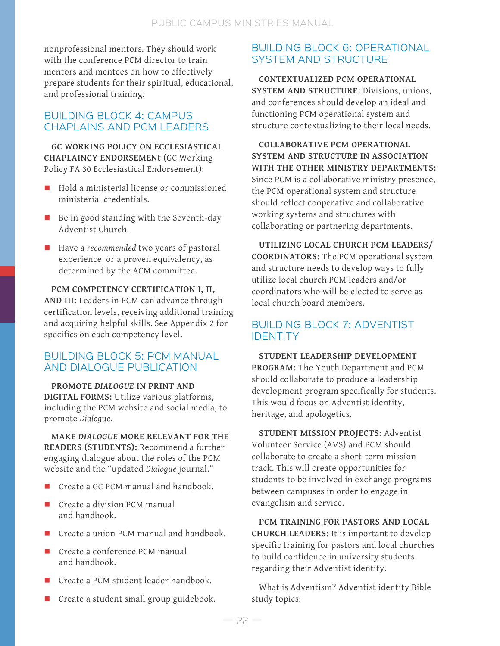nonprofessional mentors. They should work with the conference PCM director to train mentors and mentees on how to effectively prepare students for their spiritual, educational, and professional training.

## BUILDING BLOCK 4: CAMPUS CHAPLAINS AND PCM LEADERS

**GC WORKING POLICY ON ECCLESIASTICAL CHAPLAINCY ENDORSEMENt** (GC Working Policy FA 30 Ecclesiastical Endorsement):

- Hold a ministerial license or commissioned ministerial credentials.
- Be in good standing with the Seventh-day Adventist Church.
- Have a *recommended* two years of pastoral experience, or a proven equivalency, as determined by the ACM committee.

**PCM COMPETENCY CERTIFICATION I, II, AND III:** Leaders in PCM can advance through certification levels, receiving additional training and acquiring helpful skills. See Appendix 2 for specifics on each competency level.

### BUILDING BLOCK 5: PCM MANUAL AND DIALOGUE PUBLICATION

**PROMOTE** *DIALOGUE* **IN PRINT AND DIGITAL FORMS:** Utilize various platforms, including the PCM website and social media, to promote *Dialogue.* 

**MAKE** *DIALOGUE* **MORE RELEVANT FOR THE READERS (STUDENTS):** Recommend a further engaging dialogue about the roles of the PCM website and the "updated *Dialogue* journal."

- Create a GC PCM manual and handbook.
- Create a division PCM manual and handbook.
- Create a union PCM manual and handbook.
- Create a conference PCM manual and handbook.
- Create a PCM student leader handbook.
- Create a student small group guidebook.

## BUILDING BLOCK 6: OPERATIONAL SYSTEM AND STRUCTURE

**CONTEXTUALIZED PCM OPERATIONAL SYSTEM AND STRUCTURE:** Divisions, unions, and conferences should develop an ideal and functioning PCM operational system and structure contextualizing to their local needs.

**COLLABORATIVE PCM OPERATIONAL SYSTEM AND STRUCTURE IN ASSOCIATION WITH THE OTHER MINISTRY DEPARTMENTS:**  Since PCM is a collaborative ministry presence, the PCM operational system and structure should reflect cooperative and collaborative working systems and structures with collaborating or partnering departments.

**UTILIZING LOCAL CHURCH PCM LEADERS/ COORDINATORS:** The PCM operational system and structure needs to develop ways to fully utilize local church PCM leaders and/or coordinators who will be elected to serve as local church board members.

## BUILDING BLOCK 7: ADVENTIST IDENTITY

**STUDENT LEADERSHIP DEVELOPMENT PROGRAM:** The Youth Department and PCM should collaborate to produce a leadership development program specifically for students. This would focus on Adventist identity, heritage, and apologetics.

**STUDENT MISSION PROJECTS:** Adventist Volunteer Service (AVS) and PCM should collaborate to create a short-term mission track. This will create opportunities for students to be involved in exchange programs between campuses in order to engage in evangelism and service.

**PCM TRAINING FOR PASTORS AND LOCAL CHURCH LEADERS:** It is important to develop specific training for pastors and local churches to build confidence in university students regarding their Adventist identity.

What is Adventism? Adventist identity Bible study topics: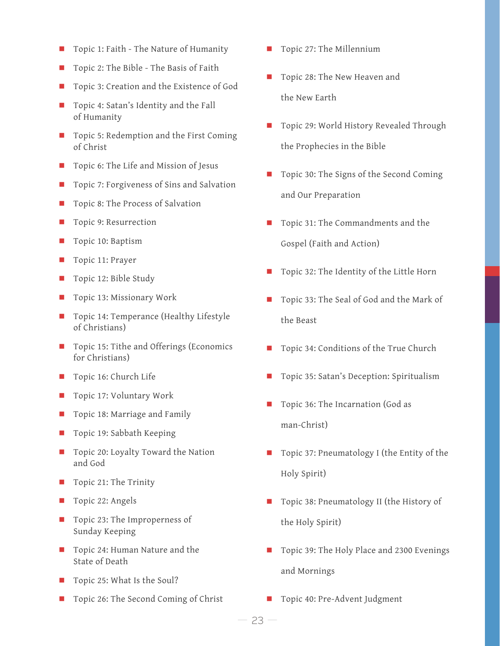- Topic 1: Faith The Nature of Humanity
- Topic 2: The Bible The Basis of Faith
- Topic 3: Creation and the Existence of God
- Topic 4: Satan's Identity and the Fall of Humanity
- Topic 5: Redemption and the First Coming of Christ
- Topic 6: The Life and Mission of Jesus
- Topic 7: Forgiveness of Sins and Salvation
- Topic 8: The Process of Salvation
- Topic 9: Resurrection
- Topic 10: Baptism
- Topic 11: Prayer
- Topic 12: Bible Study
- Topic 13: Missionary Work
- Topic 14: Temperance (Healthy Lifestyle of Christians)
- Topic 15: Tithe and Offerings (Economics for Christians)
- Topic 16: Church Life
- Topic 17: Voluntary Work
- Topic 18: Marriage and Family
- Topic 19: Sabbath Keeping
- Topic 20: Loyalty Toward the Nation and God
- Topic 21: The Trinity
- Topic 22: Angels
- Topic 23: The Improperness of Sunday Keeping
- Topic 24: Human Nature and the State of Death
- Topic 25: What Is the Soul?
- Topic 26: The Second Coming of Christ
- Topic 27: The Millennium
- Topic 28: The New Heaven and the New Earth
- Topic 29: World History Revealed Through the Prophecies in the Bible
- Topic 30: The Signs of the Second Coming and Our Preparation
- Topic 31: The Commandments and the Gospel (Faith and Action)
- Topic 32: The Identity of the Little Horn
- Topic 33: The Seal of God and the Mark of the Beast
- Topic 34: Conditions of the True Church
- Topic 35: Satan's Deception: Spiritualism
- Topic 36: The Incarnation (God as man-Christ)
- Topic 37: Pneumatology I (the Entity of the Holy Spirit)
- Topic 38: Pneumatology II (the History of the Holy Spirit)
- Topic 39: The Holy Place and 2300 Evenings and Mornings
- Topic 40: Pre-Advent Judgment

— <sup>23</sup> —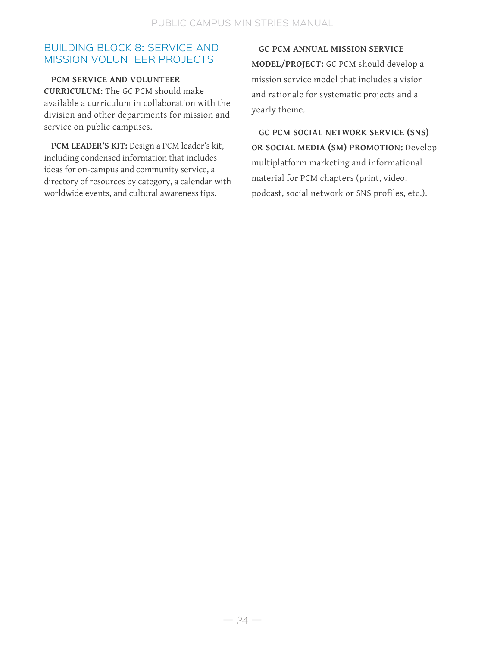## BUILDING BLOCK 8: SERVICE AND MISSION VOLUNTEER PROJECTS

**PCM SERVICE AND VOLUNTEER CURRICULUM:** The GC PCM should make available a curriculum in collaboration with the division and other departments for mission and service on public campuses.

**PCM LEADER'S KIT:** Design a PCM leader's kit, including condensed information that includes ideas for on-campus and community service, a directory of resources by category, a calendar with worldwide events, and cultural awareness tips.

**GC PCM ANNUAL MISSION SERVICE MODEL/PROJECT:** GC PCM should develop a mission service model that includes a vision and rationale for systematic projects and a yearly theme.

**GC PCM SOCIAL NETWORK SERVICE (SNS) OR SOCIAL MEDIA (SM) PROMOTION:** Develop multiplatform marketing and informational material for PCM chapters (print, video, podcast, social network or SNS profiles, etc.).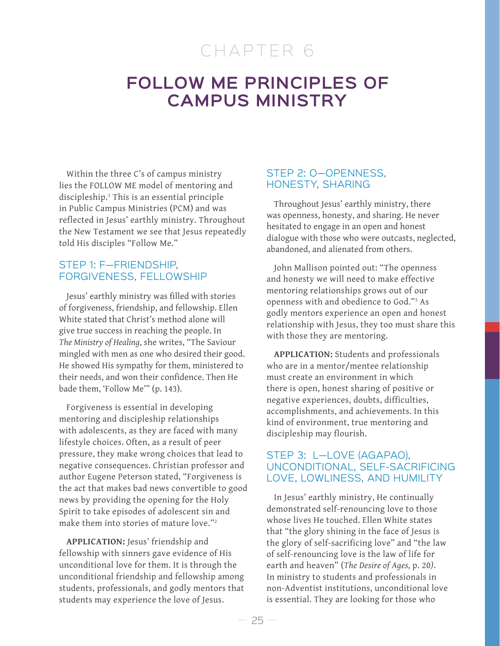# CHAPTER 6

## **FOLLOW ME PRINCIPLES OF CAMPUS MINISTRY**

Within the three C's of campus ministry lies the FOLLOW ME model of mentoring and discipleship.1 This is an essential principle in Public Campus Ministries (PCM) and was reflected in Jesus' earthly ministry. Throughout the New Testament we see that Jesus repeatedly told His disciples "Follow Me."

### STEP 1: F—FRIENDSHIP, FORGIVENESS, FELLOWSHIP

Jesus' earthly ministry was filled with stories of forgiveness, friendship, and fellowship. Ellen White stated that Christ's method alone will give true success in reaching the people. In *The Ministry of Healing*, she writes, "The Saviour mingled with men as one who desired their good. He showed His sympathy for them, ministered to their needs, and won their confidence. Then He bade them, 'Follow Me'" (p. 143).

Forgiveness is essential in developing mentoring and discipleship relationships with adolescents, as they are faced with many lifestyle choices. Often, as a result of peer pressure, they make wrong choices that lead to negative consequences. Christian professor and author Eugene Peterson stated, "Forgiveness is the act that makes bad news convertible to good news by providing the opening for the Holy Spirit to take episodes of adolescent sin and make them into stories of mature love."2

**APPLICATION:** Jesus' friendship and fellowship with sinners gave evidence of His unconditional love for them. It is through the unconditional friendship and fellowship among students, professionals, and godly mentors that students may experience the love of Jesus.

#### STEP 2: O—OPENNESS, HONESTY, SHARING

Throughout Jesus' earthly ministry, there was openness, honesty, and sharing. He never hesitated to engage in an open and honest dialogue with those who were outcasts, neglected, abandoned, and alienated from others.

John Mallison pointed out: "The openness and honesty we will need to make effective mentoring relationships grows out of our openness with and obedience to God."3 As godly mentors experience an open and honest relationship with Jesus, they too must share this with those they are mentoring.

**APPLICATION:** Students and professionals who are in a mentor/mentee relationship must create an environment in which there is open, honest sharing of positive or negative experiences, doubts, difficulties, accomplishments, and achievements. In this kind of environment, true mentoring and discipleship may flourish.

### STEP 3: L—LOVE (AGAPAO), UNCONDITIONAL, SELF-SACRIFICING LOVE, LOWLINESS, AND HUMILITY

In Jesus' earthly ministry, He continually demonstrated self-renouncing love to those whose lives He touched. Ellen White states that "the glory shining in the face of Jesus is the glory of self-sacrificing love" and "the law of self-renouncing love is the law of life for earth and heaven" (*The Desire of Ages,* p. 20*)*. In ministry to students and professionals in non-Adventist institutions, unconditional love is essential. They are looking for those who

 $-25-$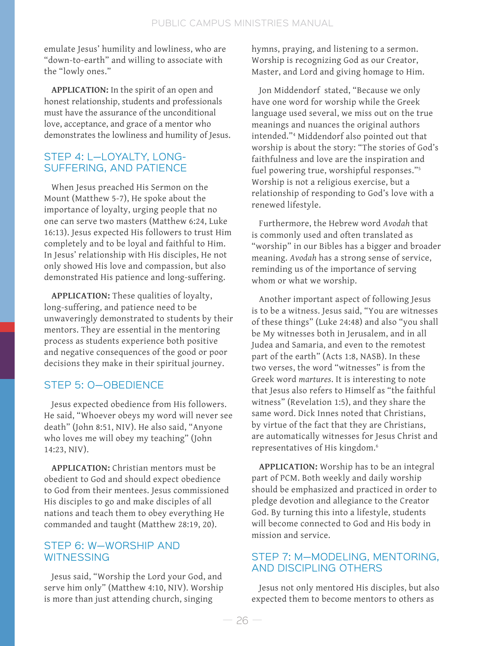emulate Jesus' humility and lowliness, who are "down-to-earth" and willing to associate with the "lowly ones."

**APPLICATION:** In the spirit of an open and honest relationship, students and professionals must have the assurance of the unconditional love, acceptance, and grace of a mentor who demonstrates the lowliness and humility of Jesus.

### STEP 4: L—LOYALTY, LONG-SUFFERING, AND PATIENCE

When Jesus preached His Sermon on the Mount (Matthew 5-7), He spoke about the importance of loyalty, urging people that no one can serve two masters (Matthew 6:24, Luke 16:13). Jesus expected His followers to trust Him completely and to be loyal and faithful to Him. In Jesus' relationship with His disciples, He not only showed His love and compassion, but also demonstrated His patience and long-suffering.

**APPLICATION:** These qualities of loyalty, long-suffering, and patience need to be unwaveringly demonstrated to students by their mentors. They are essential in the mentoring process as students experience both positive and negative consequences of the good or poor decisions they make in their spiritual journey.

## STEP 5: O—OBEDIENCE

Jesus expected obedience from His followers. He said, "Whoever obeys my word will never see death" (John 8:51, NIV). He also said, "Anyone who loves me will obey my teaching" (John 14:23, NIV).

**APPLICATION:** Christian mentors must be obedient to God and should expect obedience to God from their mentees. Jesus commissioned His disciples to go and make disciples of all nations and teach them to obey everything He commanded and taught (Matthew 28:19, 20).

## STEP 6: W—WORSHIP AND **WITNESSING**

Jesus said, "Worship the Lord your God, and serve him only" (Matthew 4:10, NIV). Worship is more than just attending church, singing

hymns, praying, and listening to a sermon. Worship is recognizing God as our Creator, Master, and Lord and giving homage to Him.

Jon Middendorf stated, "Because we only have one word for worship while the Greek language used several, we miss out on the true meanings and nuances the original authors intended."4 Middendorf also pointed out that worship is about the story: "The stories of God's faithfulness and love are the inspiration and fuel powering true, worshipful responses."5 Worship is not a religious exercise, but a relationship of responding to God's love with a renewed lifestyle.

Furthermore, the Hebrew word *Avodah* that is commonly used and often translated as "worship" in our Bibles has a bigger and broader meaning. *Avodah* has a strong sense of service, reminding us of the importance of serving whom or what we worship.

Another important aspect of following Jesus is to be a witness. Jesus said, "You are witnesses of these things" (Luke 24:48) and also "you shall be My witnesses both in Jerusalem, and in all Judea and Samaria, and even to the remotest part of the earth" (Acts 1:8, NASB). In these two verses, the word "witnesses" is from the Greek word *martures*. It is interesting to note that Jesus also refers to Himself as "the faithful witness" (Revelation 1:5), and they share the same word. Dick Innes noted that Christians, by virtue of the fact that they are Christians, are automatically witnesses for Jesus Christ and representatives of His kingdom.6

**APPLICATION:** Worship has to be an integral part of PCM. Both weekly and daily worship should be emphasized and practiced in order to pledge devotion and allegiance to the Creator God. By turning this into a lifestyle, students will become connected to God and His body in mission and service.

### STEP 7: M—MODELING, MENTORING, AND DISCIPLING OTHERS

Jesus not only mentored His disciples, but also expected them to become mentors to others as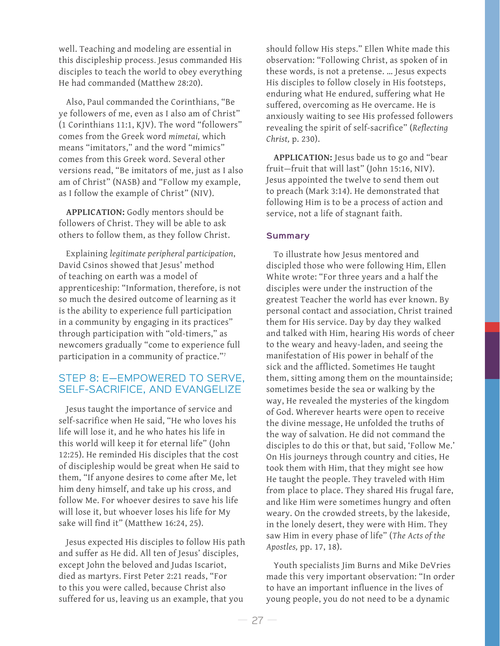well. Teaching and modeling are essential in this discipleship process. Jesus commanded His disciples to teach the world to obey everything He had commanded (Matthew 28:20).

Also, Paul commanded the Corinthians, "Be ye followers of me, even as I also am of Christ" (1 Corinthians 11:1, KJV). The word "followers" comes from the Greek word *mimetai,* which means "imitators," and the word "mimics" comes from this Greek word. Several other versions read, "Be imitators of me, just as I also am of Christ" (NASB) and "Follow my example, as I follow the example of Christ" (NIV).

**APPLICATION:** Godly mentors should be followers of Christ. They will be able to ask others to follow them, as they follow Christ.

Explaining *legitimate peripheral participation*, David Csinos showed that Jesus' method of teaching on earth was a model of apprenticeship: "Information, therefore, is not so much the desired outcome of learning as it is the ability to experience full participation in a community by engaging in its practices" through participation with "old-timers," as newcomers gradually "come to experience full participation in a community of practice."7

## STEP 8: E—EMPOWERED TO SERVE, SELF-SACRIFICE, AND EVANGELIZE

Jesus taught the importance of service and self-sacrifice when He said, "He who loves his life will lose it, and he who hates his life in this world will keep it for eternal life" (John 12:25). He reminded His disciples that the cost of discipleship would be great when He said to them, "If anyone desires to come after Me, let him deny himself, and take up his cross, and follow Me. For whoever desires to save his life will lose it, but whoever loses his life for My sake will find it" (Matthew 16:24, 25).

Jesus expected His disciples to follow His path and suffer as He did. All ten of Jesus' disciples, except John the beloved and Judas Iscariot, died as martyrs. First Peter 2:21 reads, "For to this you were called, because Christ also suffered for us, leaving us an example, that you

should follow His steps." Ellen White made this observation: "Following Christ, as spoken of in these words, is not a pretense. … Jesus expects His disciples to follow closely in His footsteps, enduring what He endured, suffering what He suffered, overcoming as He overcame. He is anxiously waiting to see His professed followers revealing the spirit of self-sacrifice" (*Reflecting Christ,* p. 230).

**APPLICATION:** Jesus bade us to go and "bear fruit—fruit that will last" (John 15:16, NIV). Jesus appointed the twelve to send them out to preach (Mark 3:14). He demonstrated that following Him is to be a process of action and service, not a life of stagnant faith.

#### **Summary**

To illustrate how Jesus mentored and discipled those who were following Him, Ellen White wrote: "For three years and a half the disciples were under the instruction of the greatest Teacher the world has ever known. By personal contact and association, Christ trained them for His service. Day by day they walked and talked with Him, hearing His words of cheer to the weary and heavy-laden, and seeing the manifestation of His power in behalf of the sick and the afflicted. Sometimes He taught them, sitting among them on the mountainside; sometimes beside the sea or walking by the way, He revealed the mysteries of the kingdom of God. Wherever hearts were open to receive the divine message, He unfolded the truths of the way of salvation. He did not command the disciples to do this or that, but said, 'Follow Me.' On His journeys through country and cities, He took them with Him, that they might see how He taught the people. They traveled with Him from place to place. They shared His frugal fare, and like Him were sometimes hungry and often weary. On the crowded streets, by the lakeside, in the lonely desert, they were with Him. They saw Him in every phase of life" (*The Acts of the Apostles,* pp. 17, 18).

Youth specialists Jim Burns and Mike DeVries made this very important observation: "In order to have an important influence in the lives of young people, you do not need to be a dynamic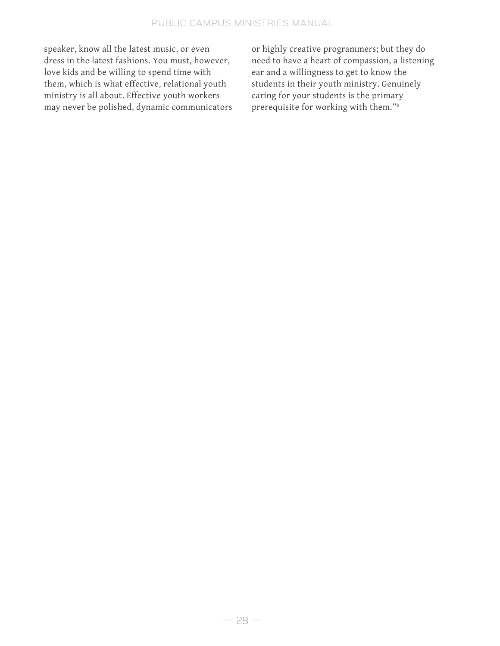speaker, know all the latest music, or even dress in the latest fashions. You must, however, love kids and be willing to spend time with them, which is what effective, relational youth ministry is all about. Effective youth workers may never be polished, dynamic communicators or highly creative programmers; but they do need to have a heart of compassion, a listening ear and a willingness to get to know the students in their youth ministry. Genuinely caring for your students is the primary prerequisite for working with them."8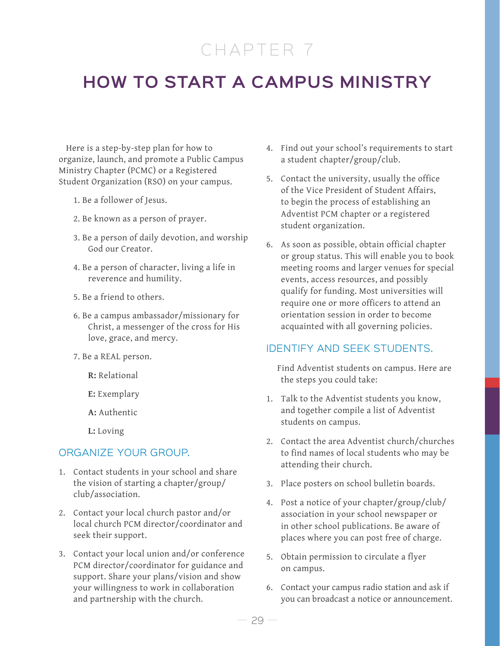# CHAPTER 7

## **HOW TO START A CAMPUS MINISTRY**

Here is a step-by-step plan for how to organize, launch, and promote a Public Campus Ministry Chapter (PCMC) or a Registered Student Organization (RSO) on your campus.

- 1. Be a follower of Jesus.
- 2. Be known as a person of prayer.
- 3. Be a person of daily devotion, and worship God our Creator.
- 4. Be a person of character, living a life in reverence and humility.
- 5. Be a friend to others.
- 6. Be a campus ambassador/missionary for Christ, a messenger of the cross for His love, grace, and mercy.
- 7. Be a REAL person.
	- **R:** Relational
	- **E:** Exemplary
	- **A:** Authentic
	- **L:** Loving

#### ORGANIZE YOUR GROUP.

- 1. Contact students in your school and share the vision of starting a chapter/group/ club/association.
- 2. Contact your local church pastor and/or local church PCM director/coordinator and seek their support.
- 3. Contact your local union and/or conference PCM director/coordinator for guidance and support. Share your plans/vision and show your willingness to work in collaboration and partnership with the church.
- 4. Find out your school's requirements to start a student chapter/group/club.
- 5. Contact the university, usually the office of the Vice President of Student Affairs, to begin the process of establishing an Adventist PCM chapter or a registered student organization.
- 6. As soon as possible, obtain official chapter or group status. This will enable you to book meeting rooms and larger venues for special events, access resources, and possibly qualify for funding. Most universities will require one or more officers to attend an orientation session in order to become acquainted with all governing policies.

#### IDENTIFY AND SEEK STUDENTS.

 Find Adventist students on campus. Here are the steps you could take:

- 1. Talk to the Adventist students you know, and together compile a list of Adventist students on campus.
- 2. Contact the area Adventist church/churches to find names of local students who may be attending their church.
- 3. Place posters on school bulletin boards.
- 4. Post a notice of your chapter/group/club/ association in your school newspaper or in other school publications. Be aware of places where you can post free of charge.
- 5. Obtain permission to circulate a flyer on campus.
- 6. Contact your campus radio station and ask if you can broadcast a notice or announcement.

— <sup>29</sup> —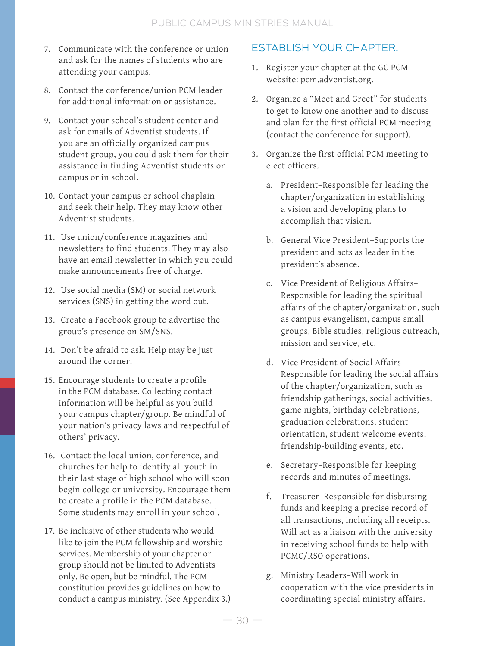- 7. Communicate with the conference or union and ask for the names of students who are attending your campus.
- 8. Contact the conference/union PCM leader for additional information or assistance.
- 9. Contact your school's student center and ask for emails of Adventist students. If you are an officially organized campus student group, you could ask them for their assistance in finding Adventist students on campus or in school.
- 10. Contact your campus or school chaplain and seek their help. They may know other Adventist students.
- 11. Use union/conference magazines and newsletters to find students. They may also have an email newsletter in which you could make announcements free of charge.
- 12. Use social media (SM) or social network services (SNS) in getting the word out.
- 13. Create a Facebook group to advertise the group's presence on SM/SNS.
- 14. Don't be afraid to ask. Help may be just around the corner.
- 15. Encourage students to create a profile in the PCM database. Collecting contact information will be helpful as you build your campus chapter/group. Be mindful of your nation's privacy laws and respectful of others' privacy.
- 16. Contact the local union, conference, and churches for help to identify all youth in their last stage of high school who will soon begin college or university. Encourage them to create a profile in the PCM database. Some students may enroll in your school.
- 17. Be inclusive of other students who would like to join the PCM fellowship and worship services. Membership of your chapter or group should not be limited to Adventists only. Be open, but be mindful. The PCM constitution provides guidelines on how to conduct a campus ministry. (See Appendix 3.)

## ESTABLISH YOUR CHAPTER.

- 1. Register your chapter at the GC PCM website: pcm.adventist.org.
- 2. Organize a "Meet and Greet" for students to get to know one another and to discuss and plan for the first official PCM meeting (contact the conference for support).
- 3. Organize the first official PCM meeting to elect officers.
	- a. President–Responsible for leading the chapter/organization in establishing a vision and developing plans to accomplish that vision.
	- b. General Vice President–Supports the president and acts as leader in the president's absence.
	- c. Vice President of Religious Affairs– Responsible for leading the spiritual affairs of the chapter/organization, such as campus evangelism, campus small groups, Bible studies, religious outreach, mission and service, etc.
	- d. Vice President of Social Affairs– Responsible for leading the social affairs of the chapter/organization, such as friendship gatherings, social activities, game nights, birthday celebrations, graduation celebrations, student orientation, student welcome events, friendship-building events, etc.
	- e. Secretary–Responsible for keeping records and minutes of meetings.
	- f. Treasurer–Responsible for disbursing funds and keeping a precise record of all transactions, including all receipts. Will act as a liaison with the university in receiving school funds to help with PCMC/RSO operations.
	- g. Ministry Leaders–Will work in cooperation with the vice presidents in coordinating special ministry affairs.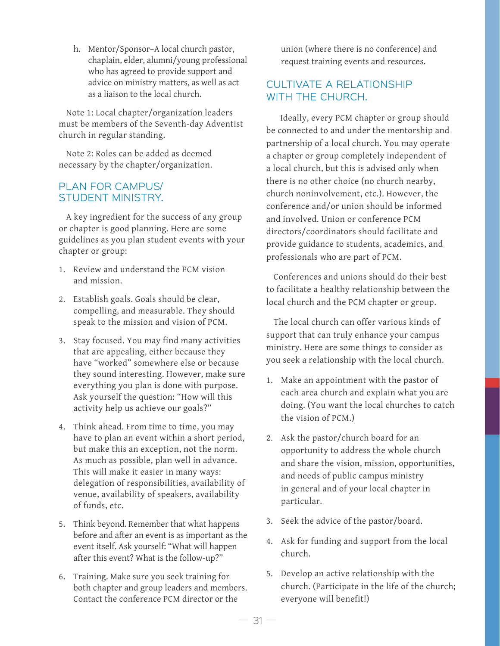h. Mentor/Sponsor–A local church pastor, chaplain, elder, alumni/young professional who has agreed to provide support and advice on ministry matters, as well as act as a liaison to the local church.

Note 1: Local chapter/organization leaders must be members of the Seventh-day Adventist church in regular standing.

Note 2: Roles can be added as deemed necessary by the chapter/organization.

#### PLAN FOR CAMPUS/ STUDENT MINISTRY.

A key ingredient for the success of any group or chapter is good planning. Here are some guidelines as you plan student events with your chapter or group:

- 1. Review and understand the PCM vision and mission.
- 2. Establish goals. Goals should be clear, compelling, and measurable. They should speak to the mission and vision of PCM.
- 3. Stay focused. You may find many activities that are appealing, either because they have "worked" somewhere else or because they sound interesting. However, make sure everything you plan is done with purpose. Ask yourself the question: "How will this activity help us achieve our goals?"
- 4. Think ahead. From time to time, you may have to plan an event within a short period, but make this an exception, not the norm. As much as possible, plan well in advance. This will make it easier in many ways: delegation of responsibilities, availability of venue, availability of speakers, availability of funds, etc.
- 5. Think beyond. Remember that what happens before and after an event is as important as the event itself. Ask yourself: "What will happen after this event? What is the follow-up?"
- 6. Training. Make sure you seek training for both chapter and group leaders and members. Contact the conference PCM director or the

union (where there is no conference) and request training events and resources.

## CULTIVATE A RELATIONSHIP WITH THE CHURCH.

 Ideally, every PCM chapter or group should be connected to and under the mentorship and partnership of a local church. You may operate a chapter or group completely independent of a local church, but this is advised only when there is no other choice (no church nearby, church noninvolvement, etc.). However, the conference and/or union should be informed and involved. Union or conference PCM directors/coordinators should facilitate and provide guidance to students, academics, and professionals who are part of PCM.

Conferences and unions should do their best to facilitate a healthy relationship between the local church and the PCM chapter or group.

The local church can offer various kinds of support that can truly enhance your campus ministry. Here are some things to consider as you seek a relationship with the local church.

- 1. Make an appointment with the pastor of each area church and explain what you are doing. (You want the local churches to catch the vision of PCM.)
- 2. Ask the pastor/church board for an opportunity to address the whole church and share the vision, mission, opportunities, and needs of public campus ministry in general and of your local chapter in particular.
- 3. Seek the advice of the pastor/board.
- 4. Ask for funding and support from the local church.
- 5. Develop an active relationship with the church. (Participate in the life of the church; everyone will benefit!)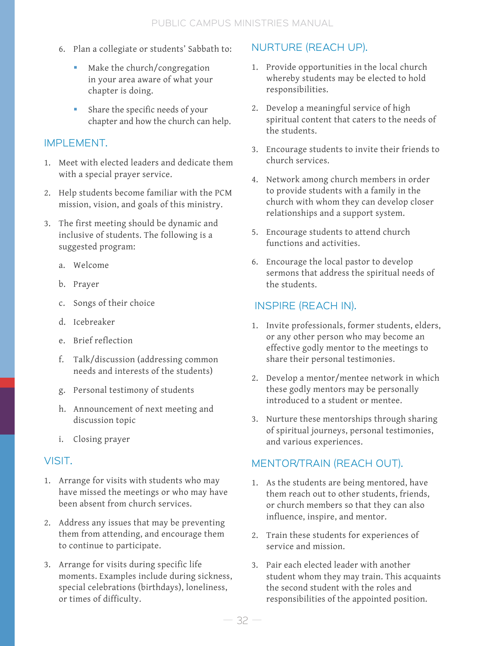- 6. Plan a collegiate or students' Sabbath to:
	- Make the church/congregation in your area aware of what your chapter is doing.
	- Share the specific needs of your chapter and how the church can help.

## IMPLEMENT.

- 1. Meet with elected leaders and dedicate them with a special prayer service.
- 2. Help students become familiar with the PCM mission, vision, and goals of this ministry.
- 3. The first meeting should be dynamic and inclusive of students. The following is a suggested program:
	- a. Welcome
	- b. Prayer
	- c. Songs of their choice
	- d. Icebreaker
	- e. Brief reflection
	- f. Talk/discussion (addressing common needs and interests of the students)
	- g. Personal testimony of students
	- h. Announcement of next meeting and discussion topic
	- i. Closing prayer

## VISIT.

- 1. Arrange for visits with students who may have missed the meetings or who may have been absent from church services.
- 2. Address any issues that may be preventing them from attending, and encourage them to continue to participate.
- 3. Arrange for visits during specific life moments. Examples include during sickness, special celebrations (birthdays), loneliness, or times of difficulty.

## NURTURE (REACH UP).

- 1. Provide opportunities in the local church whereby students may be elected to hold responsibilities.
- 2. Develop a meaningful service of high spiritual content that caters to the needs of the students.
- 3. Encourage students to invite their friends to church services.
- 4. Network among church members in order to provide students with a family in the church with whom they can develop closer relationships and a support system.
- 5. Encourage students to attend church functions and activities.
- 6. Encourage the local pastor to develop sermons that address the spiritual needs of the students.

## INSPIRE (REACH IN).

- 1. Invite professionals, former students, elders, or any other person who may become an effective godly mentor to the meetings to share their personal testimonies.
- 2. Develop a mentor/mentee network in which these godly mentors may be personally introduced to a student or mentee.
- 3. Nurture these mentorships through sharing of spiritual journeys, personal testimonies, and various experiences.

## MENTOR/TRAIN (REACH OUT).

- 1. As the students are being mentored, have them reach out to other students, friends, or church members so that they can also influence, inspire, and mentor.
- 2. Train these students for experiences of service and mission.
- 3. Pair each elected leader with another student whom they may train. This acquaints the second student with the roles and responsibilities of the appointed position.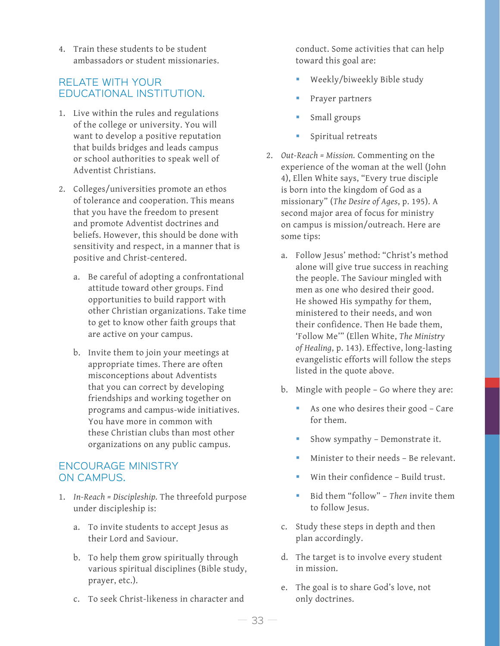4. Train these students to be student ambassadors or student missionaries.

### RELATE WITH YOUR EDUCATIONAL INSTITUTION.

- 1. Live within the rules and regulations of the college or university. You will want to develop a positive reputation that builds bridges and leads campus or school authorities to speak well of Adventist Christians.
- 2. Colleges/universities promote an ethos of tolerance and cooperation. This means that you have the freedom to present and promote Adventist doctrines and beliefs. However, this should be done with sensitivity and respect, in a manner that is positive and Christ-centered.
	- a. Be careful of adopting a confrontational attitude toward other groups. Find opportunities to build rapport with other Christian organizations. Take time to get to know other faith groups that are active on your campus.
	- b. Invite them to join your meetings at appropriate times. There are often misconceptions about Adventists that you can correct by developing friendships and working together on programs and campus-wide initiatives. You have more in common with these Christian clubs than most other organizations on any public campus.

### ENCOURAGE MINISTRY ON CAMPUS.

- 1. *In-Reach = Discipleship.* The threefold purpose under discipleship is:
	- a. To invite students to accept Jesus as their Lord and Saviour.
	- b. To help them grow spiritually through various spiritual disciplines (Bible study, prayer, etc.).
	- c. To seek Christ-likeness in character and

conduct. Some activities that can help toward this goal are:

- Weekly/biweekly Bible study
- Prayer partners
- Small groups
- **Spiritual retreats**
- 2. *Out-Reach = Mission.* Commenting on the experience of the woman at the well (John 4), Ellen White says, "Every true disciple is born into the kingdom of God as a missionary" (*The Desire of Ages*, p. 195). A second major area of focus for ministry on campus is mission/outreach. Here are some tips:
	- a. Follow Jesus' method: "Christ's method alone will give true success in reaching the people. The Saviour mingled with men as one who desired their good. He showed His sympathy for them, ministered to their needs, and won their confidence. Then He bade them, 'Follow Me'" (Ellen White, *The Ministry of Healing*, p. 143). Effective, long-lasting evangelistic efforts will follow the steps listed in the quote above.
	- b. Mingle with people Go where they are:
		- As one who desires their good Care for them.
		- Show sympathy Demonstrate it.
		- Minister to their needs Be relevant.
		- Win their confidence Build trust.
		- Bid them "follow" *Then* invite them to follow Jesus.
	- c. Study these steps in depth and then plan accordingly.
	- d. The target is to involve every student in mission.
	- e. The goal is to share God's love, not only doctrines.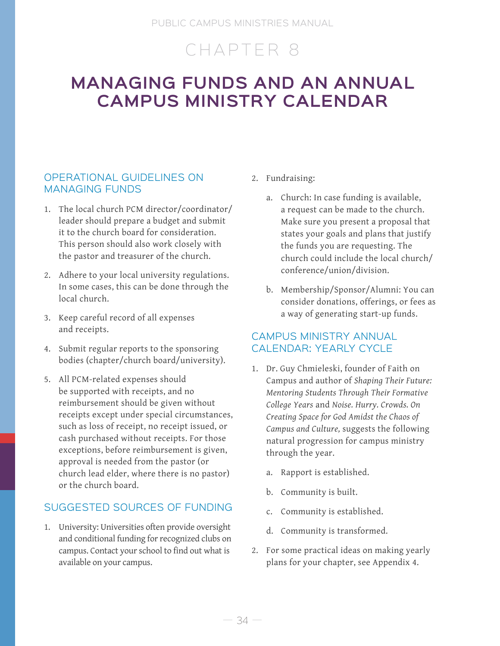# CHAPTER 8

## **MANAGING FUNDS AND AN ANNUAL CAMPUS MINISTRY CALENDAR**

## OPERATIONAL GUIDELINES ON MANAGING FUNDS

- 1. The local church PCM director/coordinator/ leader should prepare a budget and submit it to the church board for consideration. This person should also work closely with the pastor and treasurer of the church.
- 2. Adhere to your local university regulations. In some cases, this can be done through the local church.
- 3. Keep careful record of all expenses and receipts.
- 4. Submit regular reports to the sponsoring bodies (chapter/church board/university).
- 5. All PCM-related expenses should be supported with receipts, and no reimbursement should be given without receipts except under special circumstances, such as loss of receipt, no receipt issued, or cash purchased without receipts. For those exceptions, before reimbursement is given, approval is needed from the pastor (or church lead elder, where there is no pastor) or the church board.

## SUGGESTED SOURCES OF FUNDING

1. University: Universities often provide oversight and conditional funding for recognized clubs on campus. Contact your school to find out what is available on your campus.

- 2. Fundraising:
	- a. Church: In case funding is available, a request can be made to the church. Make sure you present a proposal that states your goals and plans that justify the funds you are requesting. The church could include the local church/ conference/union/division.
	- b. Membership/Sponsor/Alumni: You can consider donations, offerings, or fees as a way of generating start-up funds.

## CAMPUS MINISTRY ANNUAL CALENDAR: YEARLY CYCLE

- 1. Dr. Guy Chmieleski, founder of Faith on Campus and author of *Shaping Their Future: Mentoring Students Through Their Formative College Years* and *Noise. Hurry. Crowds. On Creating Space for God Amidst the Chaos of Campus and Culture,* suggests the following natural progression for campus ministry through the year.
	- a. Rapport is established.
	- b. Community is built.
	- c. Community is established.
	- d. Community is transformed.
- 2. For some practical ideas on making yearly plans for your chapter, see Appendix 4.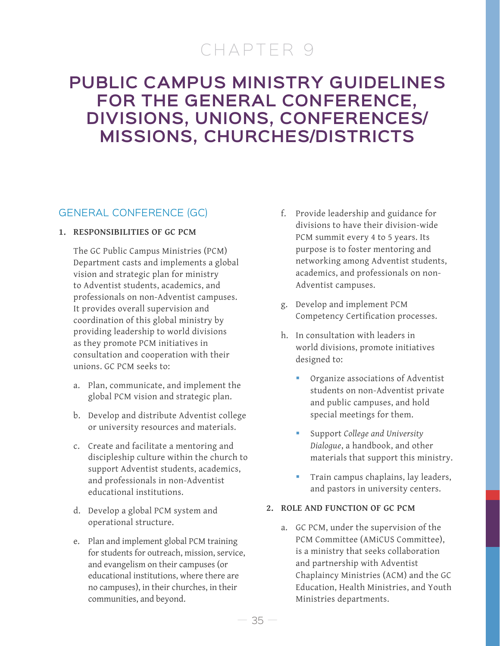# CHAPTER 9

## **PUBLIC CAMPUS MINISTRY GUIDELINES FOR THE GENERAL CONFERENCE, DIVISIONS, UNIONS, CONFERENCES/ MISSIONS, CHURCHES/DISTRICTS**

## GENERAL CONFERENCE (GC)

#### **1. RESPONSIBILITIES OF GC PCM**

The GC Public Campus Ministries (PCM) Department casts and implements a global vision and strategic plan for ministry to Adventist students, academics, and professionals on non-Adventist campuses. It provides overall supervision and coordination of this global ministry by providing leadership to world divisions as they promote PCM initiatives in consultation and cooperation with their unions. GC PCM seeks to:

- a. Plan, communicate, and implement the global PCM vision and strategic plan.
- b. Develop and distribute Adventist college or university resources and materials.
- c. Create and facilitate a mentoring and discipleship culture within the church to support Adventist students, academics, and professionals in non-Adventist educational institutions.
- d. Develop a global PCM system and operational structure.
- e. Plan and implement global PCM training for students for outreach, mission, service, and evangelism on their campuses (or educational institutions, where there are no campuses), in their churches, in their communities, and beyond.
- f. Provide leadership and guidance for divisions to have their division-wide PCM summit every 4 to 5 years. Its purpose is to foster mentoring and networking among Adventist students, academics, and professionals on non-Adventist campuses.
- g. Develop and implement PCM Competency Certification processes.
- h. In consultation with leaders in world divisions, promote initiatives designed to:
	- Organize associations of Adventist students on non-Adventist private and public campuses, and hold special meetings for them.
	- Support *College and University Dialogue*, a handbook, and other materials that support this ministry.
	- Train campus chaplains, lay leaders, and pastors in university centers.

#### **2. ROLE AND FUNCTION OF GC PCM**

a. GC PCM, under the supervision of the PCM Committee (AMiCUS Committee), is a ministry that seeks collaboration and partnership with Adventist Chaplaincy Ministries (ACM) and the GC Education, Health Ministries, and Youth Ministries departments.

 $35 -$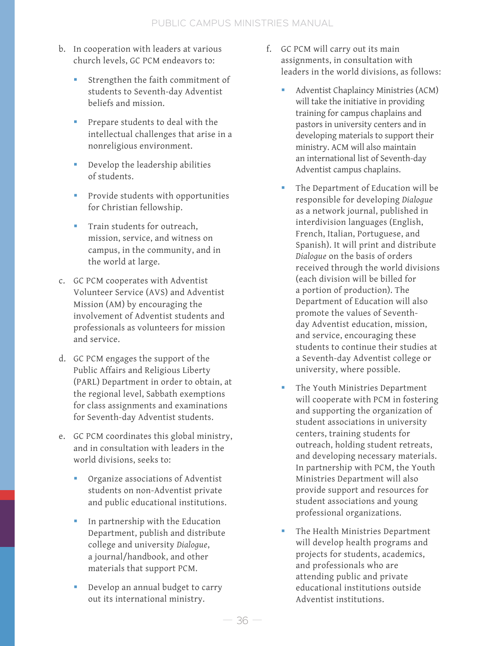- b. In cooperation with leaders at various church levels, GC PCM endeavors to:
	- Strengthen the faith commitment of students to Seventh-day Adventist beliefs and mission.
	- **Prepare students to deal with the** intellectual challenges that arise in a nonreligious environment.
	- Develop the leadership abilities of students.
	- **Provide students with opportunities** for Christian fellowship.
	- **Train students for outreach,** mission, service, and witness on campus, in the community, and in the world at large.
- c. GC PCM cooperates with Adventist Volunteer Service (AVS) and Adventist Mission (AM) by encouraging the involvement of Adventist students and professionals as volunteers for mission and service.
- d. GC PCM engages the support of the Public Affairs and Religious Liberty (PARL) Department in order to obtain, at the regional level, Sabbath exemptions for class assignments and examinations for Seventh-day Adventist students.
- e. GC PCM coordinates this global ministry, and in consultation with leaders in the world divisions, seeks to:
	- Organize associations of Adventist students on non-Adventist private and public educational institutions.
	- **In partnership with the Education** Department, publish and distribute college and university *Dialogue*, a journal/handbook, and other materials that support PCM.
	- Develop an annual budget to carry out its international ministry.
- f. GC PCM will carry out its main assignments, in consultation with leaders in the world divisions, as follows:
	- Adventist Chaplaincy Ministries (ACM) will take the initiative in providing training for campus chaplains and pastors in university centers and in developing materials to support their ministry. ACM will also maintain an international list of Seventh-day Adventist campus chaplains.
	- The Department of Education will be responsible for developing *Dialogue* as a network journal, published in interdivision languages (English, French, Italian, Portuguese, and Spanish). It will print and distribute *Dialogue* on the basis of orders received through the world divisions (each division will be billed for a portion of production). The Department of Education will also promote the values of Seventhday Adventist education, mission, and service, encouraging these students to continue their studies at a Seventh-day Adventist college or university, where possible.
	- The Youth Ministries Department will cooperate with PCM in fostering and supporting the organization of student associations in university centers, training students for outreach, holding student retreats, and developing necessary materials. In partnership with PCM, the Youth Ministries Department will also provide support and resources for student associations and young professional organizations.
	- The Health Ministries Department will develop health programs and projects for students, academics, and professionals who are attending public and private educational institutions outside Adventist institutions.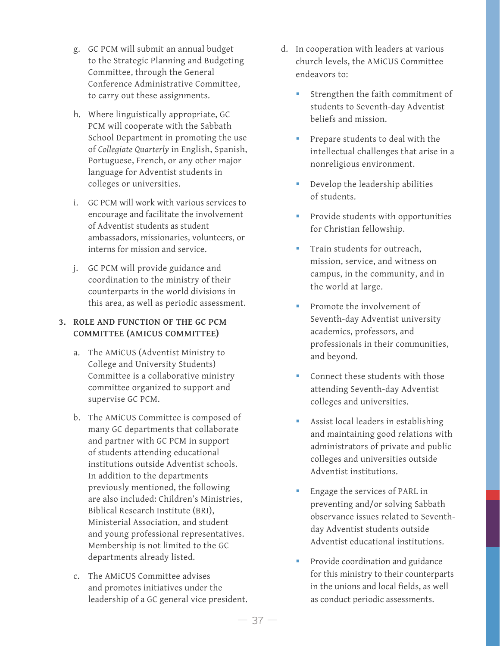- g. GC PCM will submit an annual budget to the Strategic Planning and Budgeting Committee, through the General Conference Administrative Committee, to carry out these assignments.
- h. Where linguistically appropriate, GC PCM will cooperate with the Sabbath School Department in promoting the use of *Collegiate Quarterly* in English, Spanish, Portuguese, French, or any other major language for Adventist students in colleges or universities.
- i. GC PCM will work with various services to encourage and facilitate the involvement of Adventist students as student ambassadors, missionaries, volunteers, or interns for mission and service.
- j. GC PCM will provide guidance and coordination to the ministry of their counterparts in the world divisions in this area, as well as periodic assessment.

#### **3. ROLE AND FUNCTION OF THE GC PCM COMMITTEE (AMICUS COMMITTEE)**

- a. The AMiCUS (Adventist Ministry to College and University Students) Committee is a collaborative ministry committee organized to support and supervise GC PCM.
- b. The AMiCUS Committee is composed of many GC departments that collaborate and partner with GC PCM in support of students attending educational institutions outside Adventist schools. In addition to the departments previously mentioned, the following are also included: Children's Ministries, Biblical Research Institute (BRI), Ministerial Association, and student and young professional representatives. Membership is not limited to the GC departments already listed.
- c. The AMiCUS Committee advises and promotes initiatives under the leadership of a GC general vice president.
- d. In cooperation with leaders at various church levels, the AMiCUS Committee endeavors to:
	- Strengthen the faith commitment of students to Seventh-day Adventist beliefs and mission.
	- Prepare students to deal with the intellectual challenges that arise in a nonreligious environment.
	- Develop the leadership abilities of students.
	- **Provide students with opportunities** for Christian fellowship.
	- **Train students for outreach,** mission, service, and witness on campus, in the community, and in the world at large.
	- **Promote the involvement of** Seventh-day Adventist university academics, professors, and professionals in their communities, and beyond.
	- **Connect these students with those** attending Seventh-day Adventist colleges and universities.
	- Assist local leaders in establishing and maintaining good relations with administrators of private and public colleges and universities outside Adventist institutions.
	- Engage the services of PARL in preventing and/or solving Sabbath observance issues related to Seventhday Adventist students outside Adventist educational institutions.
	- **Provide coordination and guidance** for this ministry to their counterparts in the unions and local fields, as well as conduct periodic assessments.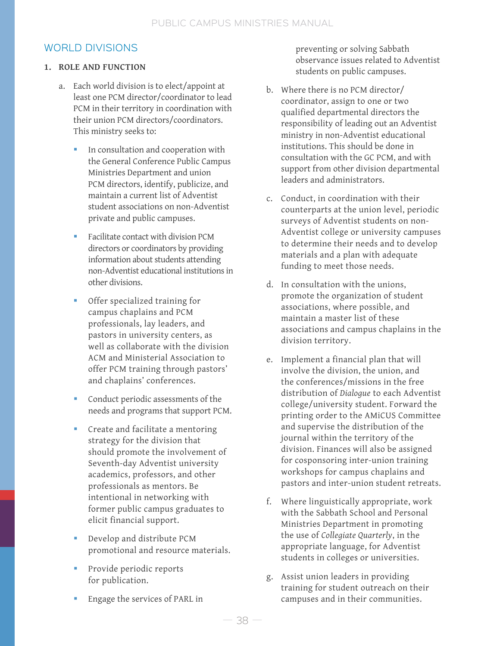## WORLD DIVISIONS

#### **1. ROLE AND FUNCTION**

- a. Each world division is to elect/appoint at least one PCM director/coordinator to lead PCM in their territory in coordination with their union PCM directors/coordinators. This ministry seeks to:
	- In consultation and cooperation with the General Conference Public Campus Ministries Department and union PCM directors, identify, publicize, and maintain a current list of Adventist student associations on non-Adventist private and public campuses.
	- Facilitate contact with division PCM directors or coordinators by providing information about students attending non-Adventist educational institutions in other divisions.
	- Offer specialized training for campus chaplains and PCM professionals, lay leaders, and pastors in university centers, as well as collaborate with the division ACM and Ministerial Association to offer PCM training through pastors' and chaplains' conferences.
	- Conduct periodic assessments of the needs and programs that support PCM.
	- **Create and facilitate a mentoring** strategy for the division that should promote the involvement of Seventh-day Adventist university academics, professors, and other professionals as mentors. Be intentional in networking with former public campus graduates to elicit financial support.
	- Develop and distribute PCM promotional and resource materials.
	- Provide periodic reports for publication.
	- Engage the services of PARL in

preventing or solving Sabbath observance issues related to Adventist students on public campuses.

- b. Where there is no PCM director/ coordinator, assign to one or two qualified departmental directors the responsibility of leading out an Adventist ministry in non-Adventist educational institutions. This should be done in consultation with the GC PCM, and with support from other division departmental leaders and administrators.
- c. Conduct, in coordination with their counterparts at the union level, periodic surveys of Adventist students on non-Adventist college or university campuses to determine their needs and to develop materials and a plan with adequate funding to meet those needs.
- d. In consultation with the unions, promote the organization of student associations, where possible, and maintain a master list of these associations and campus chaplains in the division territory.
- e. Implement a financial plan that will involve the division, the union, and the conferences/missions in the free distribution of *Dialogue* to each Adventist college/university student. Forward the printing order to the AMiCUS Committee and supervise the distribution of the journal within the territory of the division. Finances will also be assigned for cosponsoring inter-union training workshops for campus chaplains and pastors and inter-union student retreats.
- f. Where linguistically appropriate, work with the Sabbath School and Personal Ministries Department in promoting the use of *Collegiate Quarterly*, in the appropriate language, for Adventist students in colleges or universities.
- g. Assist union leaders in providing training for student outreach on their campuses and in their communities.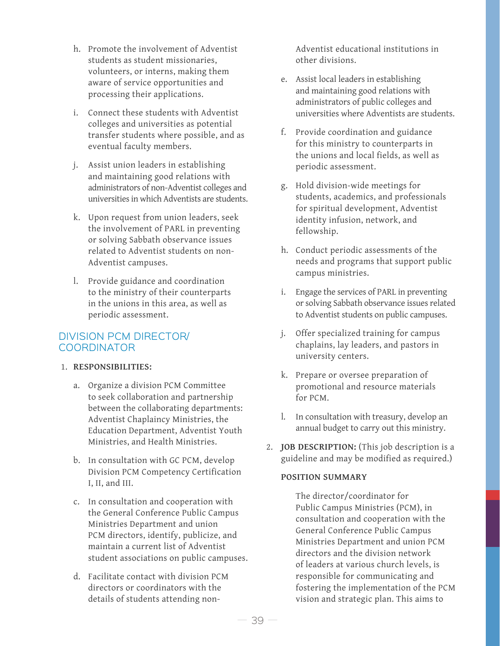- h. Promote the involvement of Adventist students as student missionaries, volunteers, or interns, making them aware of service opportunities and processing their applications.
- i. Connect these students with Adventist colleges and universities as potential transfer students where possible, and as eventual faculty members.
- j. Assist union leaders in establishing and maintaining good relations with administrators of non-Adventist colleges and universities in which Adventists are students.
- k. Upon request from union leaders, seek the involvement of PARL in preventing or solving Sabbath observance issues related to Adventist students on non-Adventist campuses.
- l. Provide guidance and coordination to the ministry of their counterparts in the unions in this area, as well as periodic assessment.

### DIVISION PCM DIRECTOR/ COORDINATOR

#### 1. **RESPONSIBILITIES:**

- a. Organize a division PCM Committee to seek collaboration and partnership between the collaborating departments: Adventist Chaplaincy Ministries, the Education Department, Adventist Youth Ministries, and Health Ministries.
- b. In consultation with GC PCM, develop Division PCM Competency Certification I, II, and III.
- c. In consultation and cooperation with the General Conference Public Campus Ministries Department and union PCM directors, identify, publicize, and maintain a current list of Adventist student associations on public campuses.
- d. Facilitate contact with division PCM directors or coordinators with the details of students attending non-

Adventist educational institutions in other divisions.

- e. Assist local leaders in establishing and maintaining good relations with administrators of public colleges and universities where Adventists are students.
- f. Provide coordination and guidance for this ministry to counterparts in the unions and local fields, as well as periodic assessment.
- g. Hold division-wide meetings for students, academics, and professionals for spiritual development, Adventist identity infusion, network, and fellowship.
- h. Conduct periodic assessments of the needs and programs that support public campus ministries.
- i. Engage the services of PARL in preventing or solving Sabbath observance issues related to Adventist students on public campuses.
- j. Offer specialized training for campus chaplains, lay leaders, and pastors in university centers.
- k. Prepare or oversee preparation of promotional and resource materials for PCM.
- l. In consultation with treasury, develop an annual budget to carry out this ministry.
- 2. **JOB DESCRIPTION:** (This job description is a guideline and may be modified as required.)

#### **POSITION SUMMARY**

The director/coordinator for Public Campus Ministries (PCM), in consultation and cooperation with the General Conference Public Campus Ministries Department and union PCM directors and the division network of leaders at various church levels, is responsible for communicating and fostering the implementation of the PCM vision and strategic plan. This aims to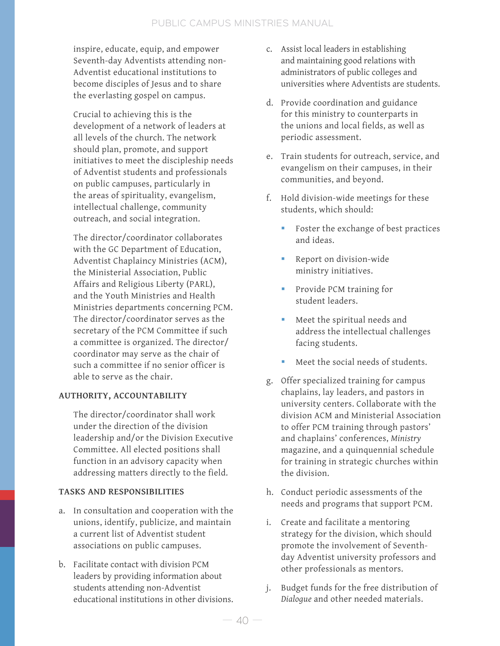inspire, educate, equip, and empower Seventh-day Adventists attending non-Adventist educational institutions to become disciples of Jesus and to share the everlasting gospel on campus.

Crucial to achieving this is the development of a network of leaders at all levels of the church. The network should plan, promote, and support initiatives to meet the discipleship needs of Adventist students and professionals on public campuses, particularly in the areas of spirituality, evangelism, intellectual challenge, community outreach, and social integration.

The director/coordinator collaborates with the GC Department of Education, Adventist Chaplaincy Ministries (ACM), the Ministerial Association, Public Affairs and Religious Liberty (PARL), and the Youth Ministries and Health Ministries departments concerning PCM. The director/coordinator serves as the secretary of the PCM Committee if such a committee is organized. The director/ coordinator may serve as the chair of such a committee if no senior officer is able to serve as the chair.

#### **AUTHORITY, ACCOUNTABILITY**

The director/coordinator shall work under the direction of the division leadership and/or the Division Executive Committee. All elected positions shall function in an advisory capacity when addressing matters directly to the field.

#### **TASKS AND RESPONSIBILITIES**

- a. In consultation and cooperation with the unions, identify, publicize, and maintain a current list of Adventist student associations on public campuses.
- b. Facilitate contact with division PCM leaders by providing information about students attending non-Adventist educational institutions in other divisions.
- c. Assist local leaders in establishing and maintaining good relations with administrators of public colleges and universities where Adventists are students.
- d. Provide coordination and guidance for this ministry to counterparts in the unions and local fields, as well as periodic assessment.
- e. Train students for outreach, service, and evangelism on their campuses, in their communities, and beyond.
- f. Hold division-wide meetings for these students, which should:
	- Foster the exchange of best practices and ideas.
	- **Report on division-wide** ministry initiatives.
	- **Provide PCM training for** student leaders.
	- Meet the spiritual needs and address the intellectual challenges facing students.
	- Meet the social needs of students.
- g. Offer specialized training for campus chaplains, lay leaders, and pastors in university centers. Collaborate with the division ACM and Ministerial Association to offer PCM training through pastors' and chaplains' conferences, *Ministry* magazine, and a quinquennial schedule for training in strategic churches within the division.
- h. Conduct periodic assessments of the needs and programs that support PCM.
- i. Create and facilitate a mentoring strategy for the division, which should promote the involvement of Seventhday Adventist university professors and other professionals as mentors.
- j. Budget funds for the free distribution of *Dialogue* and other needed materials.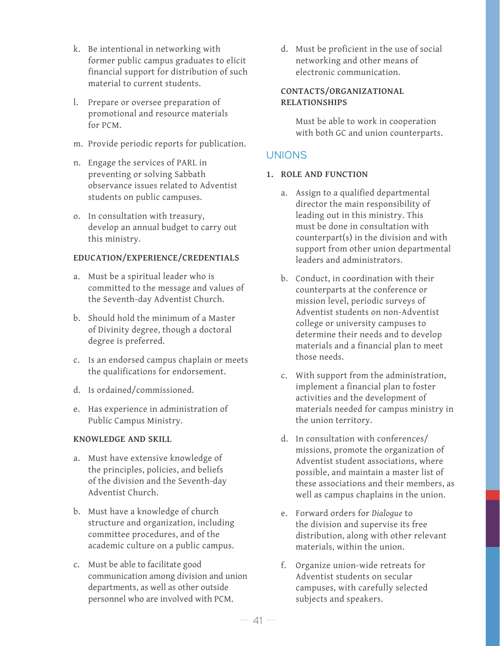- k. Be intentional in networking with former public campus graduates to elicit financial support for distribution of such material to current students.
- l. Prepare or oversee preparation of promotional and resource materials for PCM.
- m. Provide periodic reports for publication.
- n. Engage the services of PARL in preventing or solving Sabbath observance issues related to Adventist students on public campuses.
- o. In consultation with treasury, develop an annual budget to carry out this ministry.

#### **EDUCATION/EXPERIENCE/CREDENTIALS**

- a. Must be a spiritual leader who is committed to the message and values of the Seventh-day Adventist Church.
- b. Should hold the minimum of a Master of Divinity degree, though a doctoral degree is preferred.
- c. Is an endorsed campus chaplain or meets the qualifications for endorsement.
- d. Is ordained/commissioned.
- e. Has experience in administration of Public Campus Ministry.

#### **KNOWLEDGE AND SKILL**

- a. Must have extensive knowledge of the principles, policies, and beliefs of the division and the Seventh-day Adventist Church.
- b. Must have a knowledge of church structure and organization, including committee procedures, and of the academic culture on a public campus.
- c. Must be able to facilitate good communication among division and union departments, as well as other outside personnel who are involved with PCM.

d. Must be proficient in the use of social networking and other means of electronic communication.

#### **CONTACTS/ORGANIZATIONAL RELATIONSHIPS**

Must be able to work in cooperation with both GC and union counterparts.

## UNIONS

#### **1. ROLE AND FUNCTION**

- a. Assign to a qualified departmental director the main responsibility of leading out in this ministry. This must be done in consultation with counterpart(s) in the division and with support from other union departmental leaders and administrators.
- b. Conduct, in coordination with their counterparts at the conference or mission level, periodic surveys of Adventist students on non-Adventist college or university campuses to determine their needs and to develop materials and a financial plan to meet those needs.
- c. With support from the administration, implement a financial plan to foster activities and the development of materials needed for campus ministry in the union territory.
- d. In consultation with conferences/ missions, promote the organization of Adventist student associations, where possible, and maintain a master list of these associations and their members, as well as campus chaplains in the union.
- e. Forward orders for *Dialogue* to the division and supervise its free distribution, along with other relevant materials, within the union.
- f. Organize union-wide retreats for Adventist students on secular campuses, with carefully selected subjects and speakers.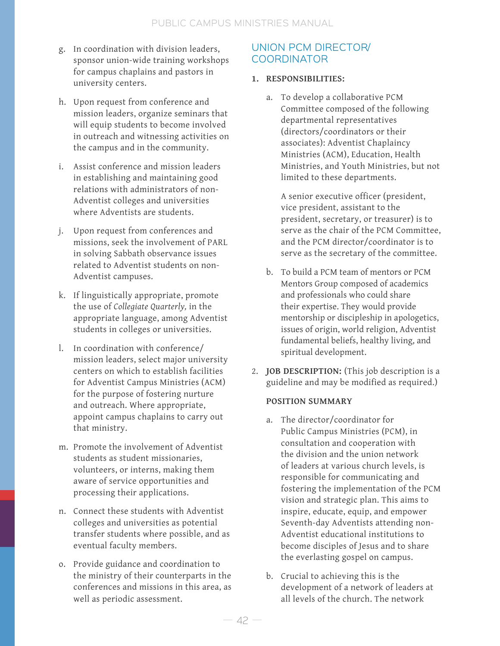- g. In coordination with division leaders, sponsor union-wide training workshops for campus chaplains and pastors in university centers.
- h. Upon request from conference and mission leaders, organize seminars that will equip students to become involved in outreach and witnessing activities on the campus and in the community.
- i. Assist conference and mission leaders in establishing and maintaining good relations with administrators of non-Adventist colleges and universities where Adventists are students.
- j. Upon request from conferences and missions, seek the involvement of PARL in solving Sabbath observance issues related to Adventist students on non-Adventist campuses.
- k. If linguistically appropriate, promote the use of *Collegiate Quarterly,* in the appropriate language, among Adventist students in colleges or universities.
- l. In coordination with conference/ mission leaders, select major university centers on which to establish facilities for Adventist Campus Ministries (ACM) for the purpose of fostering nurture and outreach. Where appropriate, appoint campus chaplains to carry out that ministry.
- m. Promote the involvement of Adventist students as student missionaries, volunteers, or interns, making them aware of service opportunities and processing their applications.
- n. Connect these students with Adventist colleges and universities as potential transfer students where possible, and as eventual faculty members.
- o. Provide guidance and coordination to the ministry of their counterparts in the conferences and missions in this area, as well as periodic assessment.

## UNION PCM DIRECTOR/ COORDINATOR

#### **1. RESPONSIBILITIES:**

a. To develop a collaborative PCM Committee composed of the following departmental representatives (directors/coordinators or their associates): Adventist Chaplaincy Ministries (ACM), Education, Health Ministries, and Youth Ministries, but not limited to these departments.

A senior executive officer (president, vice president, assistant to the president, secretary, or treasurer) is to serve as the chair of the PCM Committee, and the PCM director/coordinator is to serve as the secretary of the committee.

- b. To build a PCM team of mentors or PCM Mentors Group composed of academics and professionals who could share their expertise. They would provide mentorship or discipleship in apologetics, issues of origin, world religion, Adventist fundamental beliefs, healthy living, and spiritual development.
- 2. **JOB DESCRIPTION:** (This job description is a guideline and may be modified as required.)

#### **POSITION SUMMARY**

- a. The director/coordinator for Public Campus Ministries (PCM), in consultation and cooperation with the division and the union network of leaders at various church levels, is responsible for communicating and fostering the implementation of the PCM vision and strategic plan. This aims to inspire, educate, equip, and empower Seventh-day Adventists attending non-Adventist educational institutions to become disciples of Jesus and to share the everlasting gospel on campus.
- b. Crucial to achieving this is the development of a network of leaders at all levels of the church. The network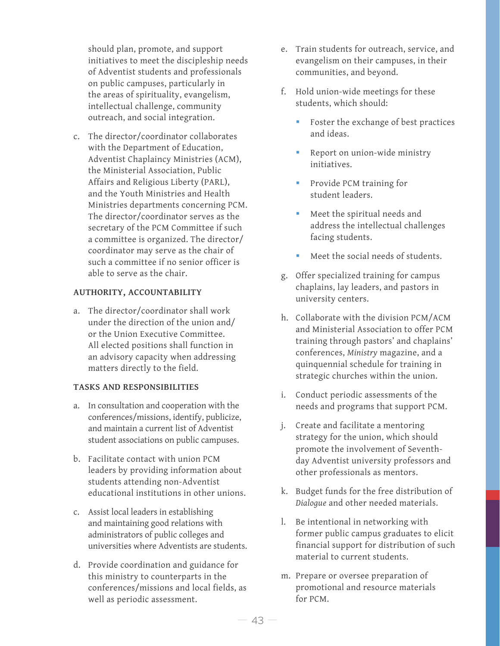should plan, promote, and support initiatives to meet the discipleship needs of Adventist students and professionals on public campuses, particularly in the areas of spirituality, evangelism, intellectual challenge, community outreach, and social integration.

c. The director/coordinator collaborates with the Department of Education, Adventist Chaplaincy Ministries (ACM), the Ministerial Association, Public Affairs and Religious Liberty (PARL), and the Youth Ministries and Health Ministries departments concerning PCM. The director/coordinator serves as the secretary of the PCM Committee if such a committee is organized. The director/ coordinator may serve as the chair of such a committee if no senior officer is able to serve as the chair.

#### **AUTHORITY, ACCOUNTABILITY**

a. The director/coordinator shall work under the direction of the union and/ or the Union Executive Committee. All elected positions shall function in an advisory capacity when addressing matters directly to the field.

#### **TASKS AND RESPONSIBILITIES**

- a. In consultation and cooperation with the conferences/missions, identify, publicize, and maintain a current list of Adventist student associations on public campuses.
- b. Facilitate contact with union PCM leaders by providing information about students attending non-Adventist educational institutions in other unions.
- c. Assist local leaders in establishing and maintaining good relations with administrators of public colleges and universities where Adventists are students.
- d. Provide coordination and guidance for this ministry to counterparts in the conferences/missions and local fields, as well as periodic assessment.
- e. Train students for outreach, service, and evangelism on their campuses, in their communities, and beyond.
- f. Hold union-wide meetings for these students, which should:
	- Foster the exchange of best practices and ideas.
	- Report on union-wide ministry initiatives.
	- **Provide PCM training for** student leaders.
	- Meet the spiritual needs and address the intellectual challenges facing students.
	- Meet the social needs of students.
- g. Offer specialized training for campus chaplains, lay leaders, and pastors in university centers.
- h. Collaborate with the division PCM/ACM and Ministerial Association to offer PCM training through pastors' and chaplains' conferences, *Ministry* magazine, and a quinquennial schedule for training in strategic churches within the union.
- i. Conduct periodic assessments of the needs and programs that support PCM.
- j. Create and facilitate a mentoring strategy for the union, which should promote the involvement of Seventhday Adventist university professors and other professionals as mentors.
- k. Budget funds for the free distribution of *Dialogue* and other needed materials.
- l. Be intentional in networking with former public campus graduates to elicit financial support for distribution of such material to current students.
- m. Prepare or oversee preparation of promotional and resource materials for PCM.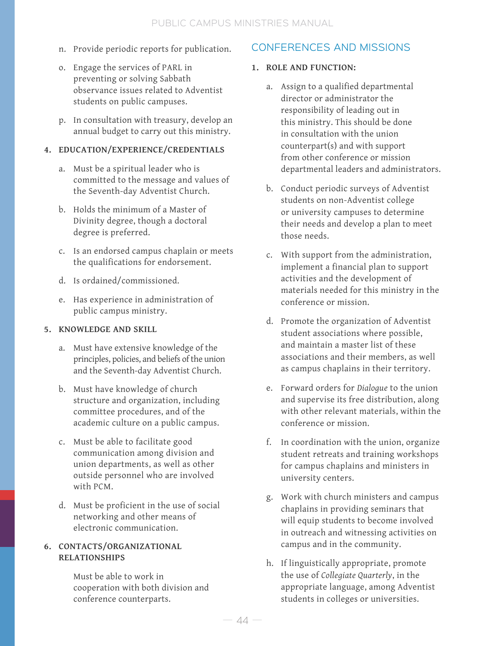- n. Provide periodic reports for publication.
- o. Engage the services of PARL in preventing or solving Sabbath observance issues related to Adventist students on public campuses.
- p. In consultation with treasury, develop an annual budget to carry out this ministry.

#### **4. EDUCATION/EXPERIENCE/CREDENTIALS**

- a. Must be a spiritual leader who is committed to the message and values of the Seventh-day Adventist Church.
- b. Holds the minimum of a Master of Divinity degree, though a doctoral degree is preferred.
- c. Is an endorsed campus chaplain or meets the qualifications for endorsement.
- d. Is ordained/commissioned.
- e. Has experience in administration of public campus ministry.

#### **5. KNOWLEDGE AND SKILL**

- a. Must have extensive knowledge of the principles, policies, and beliefs of the union and the Seventh-day Adventist Church.
- b. Must have knowledge of church structure and organization, including committee procedures, and of the academic culture on a public campus.
- c. Must be able to facilitate good communication among division and union departments, as well as other outside personnel who are involved with PCM.
- d. Must be proficient in the use of social networking and other means of electronic communication.

#### **6. CONTACTS/ORGANIZATIONAL RELATIONSHIPS**

Must be able to work in cooperation with both division and conference counterparts.

### CONFERENCES AND MISSIONS

#### **1. ROLE AND FUNCTION:**

- a. Assign to a qualified departmental director or administrator the responsibility of leading out in this ministry. This should be done in consultation with the union counterpart(s) and with support from other conference or mission departmental leaders and administrators.
- b. Conduct periodic surveys of Adventist students on non-Adventist college or university campuses to determine their needs and develop a plan to meet those needs.
- c. With support from the administration, implement a financial plan to support activities and the development of materials needed for this ministry in the conference or mission.
- d. Promote the organization of Adventist student associations where possible, and maintain a master list of these associations and their members, as well as campus chaplains in their territory.
- e. Forward orders for *Dialogue* to the union and supervise its free distribution, along with other relevant materials, within the conference or mission.
- f. In coordination with the union, organize student retreats and training workshops for campus chaplains and ministers in university centers.
- g. Work with church ministers and campus chaplains in providing seminars that will equip students to become involved in outreach and witnessing activities on campus and in the community.
- h. If linguistically appropriate, promote the use of *Collegiate Quarterly*, in the appropriate language, among Adventist students in colleges or universities.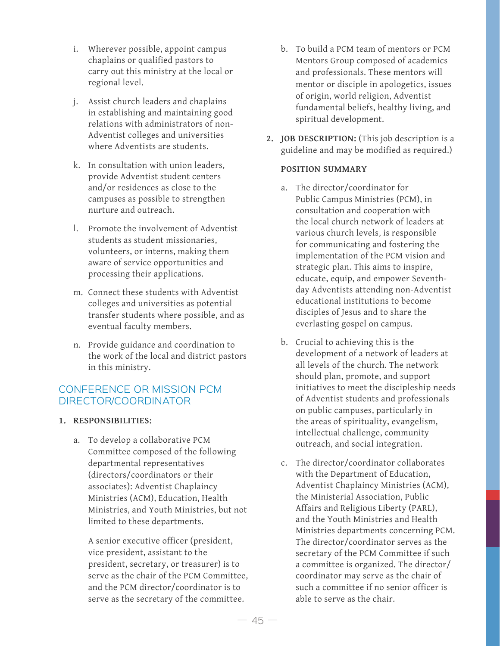- i. Wherever possible, appoint campus chaplains or qualified pastors to carry out this ministry at the local or regional level.
- j. Assist church leaders and chaplains in establishing and maintaining good relations with administrators of non-Adventist colleges and universities where Adventists are students.
- k. In consultation with union leaders, provide Adventist student centers and/or residences as close to the campuses as possible to strengthen nurture and outreach.
- l. Promote the involvement of Adventist students as student missionaries, volunteers, or interns, making them aware of service opportunities and processing their applications.
- m. Connect these students with Adventist colleges and universities as potential transfer students where possible, and as eventual faculty members.
- n. Provide guidance and coordination to the work of the local and district pastors in this ministry.

## CONFERENCE OR MISSION PCM DIRECTOR/COORDINATOR

#### **1. RESPONSIBILITIES:**

a. To develop a collaborative PCM Committee composed of the following departmental representatives (directors/coordinators or their associates): Adventist Chaplaincy Ministries (ACM), Education, Health Ministries, and Youth Ministries, but not limited to these departments.

A senior executive officer (president, vice president, assistant to the president, secretary, or treasurer) is to serve as the chair of the PCM Committee, and the PCM director/coordinator is to serve as the secretary of the committee.

- b. To build a PCM team of mentors or PCM Mentors Group composed of academics and professionals. These mentors will mentor or disciple in apologetics, issues of origin, world religion, Adventist fundamental beliefs, healthy living, and spiritual development.
- **2. JOB DESCRIPTION:** (This job description is a guideline and may be modified as required.)

#### **POSITION SUMMARY**

- a. The director/coordinator for Public Campus Ministries (PCM), in consultation and cooperation with the local church network of leaders at various church levels, is responsible for communicating and fostering the implementation of the PCM vision and strategic plan. This aims to inspire, educate, equip, and empower Seventhday Adventists attending non-Adventist educational institutions to become disciples of Jesus and to share the everlasting gospel on campus.
- b. Crucial to achieving this is the development of a network of leaders at all levels of the church. The network should plan, promote, and support initiatives to meet the discipleship needs of Adventist students and professionals on public campuses, particularly in the areas of spirituality, evangelism, intellectual challenge, community outreach, and social integration.
- c. The director/coordinator collaborates with the Department of Education, Adventist Chaplaincy Ministries (ACM), the Ministerial Association, Public Affairs and Religious Liberty (PARL), and the Youth Ministries and Health Ministries departments concerning PCM. The director/coordinator serves as the secretary of the PCM Committee if such a committee is organized. The director/ coordinator may serve as the chair of such a committee if no senior officer is able to serve as the chair.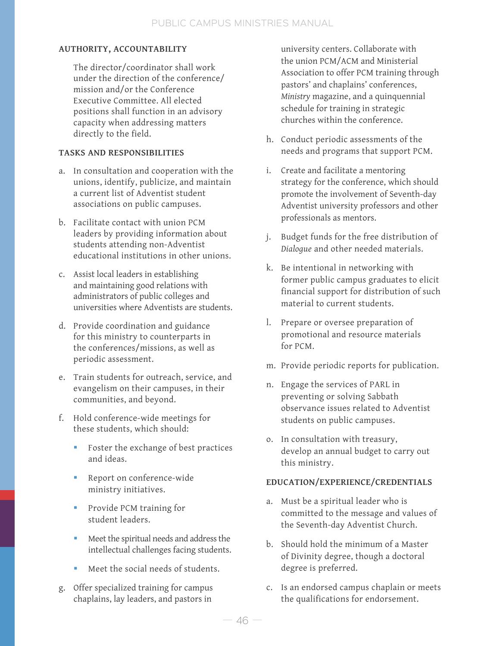### **AUTHORITY, ACCOUNTABILITY**

The director/coordinator shall work under the direction of the conference/ mission and/or the Conference Executive Committee. All elected positions shall function in an advisory capacity when addressing matters directly to the field.

#### **TASKS AND RESPONSIBILITIES**

- a. In consultation and cooperation with the unions, identify, publicize, and maintain a current list of Adventist student associations on public campuses.
- b. Facilitate contact with union PCM leaders by providing information about students attending non-Adventist educational institutions in other unions.
- c. Assist local leaders in establishing and maintaining good relations with administrators of public colleges and universities where Adventists are students.
- d. Provide coordination and guidance for this ministry to counterparts in the conferences/missions, as well as periodic assessment.
- e. Train students for outreach, service, and evangelism on their campuses, in their communities, and beyond.
- f. Hold conference-wide meetings for these students, which should:
	- Foster the exchange of best practices and ideas.
	- Report on conference-wide ministry initiatives.
	- **Provide PCM training for** student leaders.
	- Meet the spiritual needs and address the intellectual challenges facing students.
	- Meet the social needs of students.
- g. Offer specialized training for campus chaplains, lay leaders, and pastors in

university centers. Collaborate with the union PCM/ACM and Ministerial Association to offer PCM training through pastors' and chaplains' conferences, *Ministry* magazine, and a quinquennial schedule for training in strategic churches within the conference.

- h. Conduct periodic assessments of the needs and programs that support PCM.
- i. Create and facilitate a mentoring strategy for the conference, which should promote the involvement of Seventh-day Adventist university professors and other professionals as mentors.
- j. Budget funds for the free distribution of *Dialogue* and other needed materials.
- k. Be intentional in networking with former public campus graduates to elicit financial support for distribution of such material to current students.
- l. Prepare or oversee preparation of promotional and resource materials for PCM.
- m. Provide periodic reports for publication.
- n. Engage the services of PARL in preventing or solving Sabbath observance issues related to Adventist students on public campuses.
- o. In consultation with treasury, develop an annual budget to carry out this ministry.

#### **EDUCATION/EXPERIENCE/CREDENTIALS**

- a. Must be a spiritual leader who is committed to the message and values of the Seventh-day Adventist Church.
- b. Should hold the minimum of a Master of Divinity degree, though a doctoral degree is preferred.
- c. Is an endorsed campus chaplain or meets the qualifications for endorsement.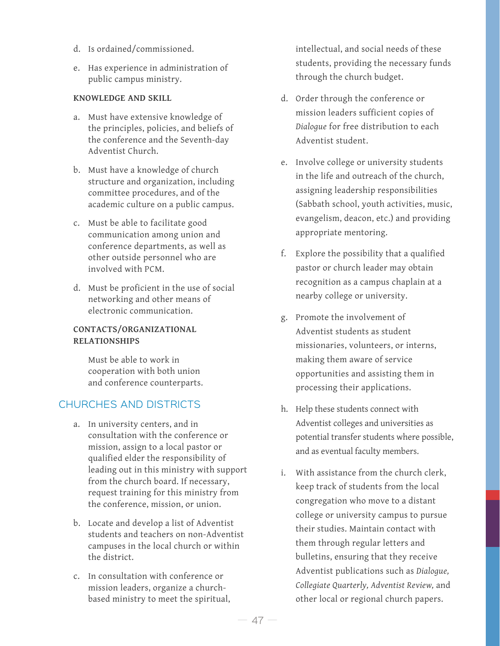- d. Is ordained/commissioned.
- e. Has experience in administration of public campus ministry.

#### **KNOWLEDGE AND SKILL**

- a. Must have extensive knowledge of the principles, policies, and beliefs of the conference and the Seventh-day Adventist Church.
- b. Must have a knowledge of church structure and organization, including committee procedures, and of the academic culture on a public campus.
- c. Must be able to facilitate good communication among union and conference departments, as well as other outside personnel who are involved with PCM.
- d. Must be proficient in the use of social networking and other means of electronic communication.

#### **CONTACTS/ORGANIZATIONAL RELATIONSHIPS**

Must be able to work in cooperation with both union and conference counterparts.

## CHURCHES AND DISTRICTS

- a. In university centers, and in consultation with the conference or mission, assign to a local pastor or qualified elder the responsibility of leading out in this ministry with support from the church board. If necessary, request training for this ministry from the conference, mission, or union.
- b. Locate and develop a list of Adventist students and teachers on non-Adventist campuses in the local church or within the district.
- c. In consultation with conference or mission leaders, organize a churchbased ministry to meet the spiritual,

intellectual, and social needs of these students, providing the necessary funds through the church budget.

- d. Order through the conference or mission leaders sufficient copies of *Dialogue* for free distribution to each Adventist student.
- e. Involve college or university students in the life and outreach of the church, assigning leadership responsibilities (Sabbath school, youth activities, music, evangelism, deacon, etc.) and providing appropriate mentoring.
- f. Explore the possibility that a qualified pastor or church leader may obtain recognition as a campus chaplain at a nearby college or university.
- g. Promote the involvement of Adventist students as student missionaries, volunteers, or interns, making them aware of service opportunities and assisting them in processing their applications.
- h. Help these students connect with Adventist colleges and universities as potential transfer students where possible, and as eventual faculty members.
- i. With assistance from the church clerk, keep track of students from the local congregation who move to a distant college or university campus to pursue their studies. Maintain contact with them through regular letters and bulletins, ensuring that they receive Adventist publications such as *Dialogue, Collegiate Quarterly, Adventist Review,* and other local or regional church papers.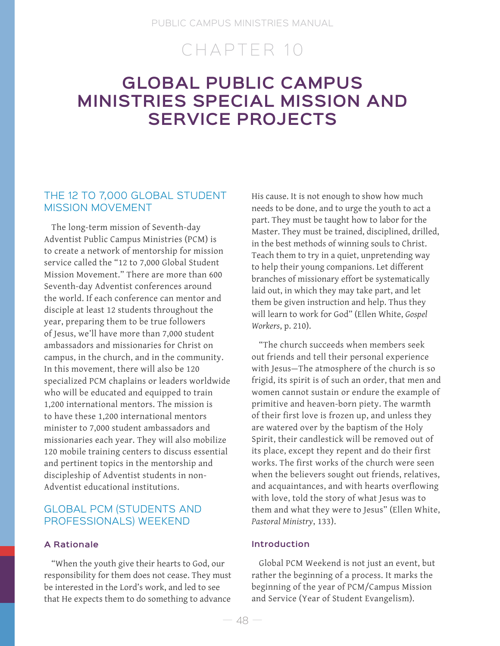## CHAPTER 10

## **GLOBAL PUBLIC CAMPUS MINISTRIES SPECIAL MISSION AND SERVICE PROJECTS**

### THE 12 TO 7,000 GLOBAL STUDENT MISSION MOVEMENT

The long-term mission of Seventh-day Adventist Public Campus Ministries (PCM) is to create a network of mentorship for mission service called the "12 to 7,000 Global Student Mission Movement." There are more than 600 Seventh-day Adventist conferences around the world. If each conference can mentor and disciple at least 12 students throughout the year, preparing them to be true followers of Jesus, we'll have more than 7,000 student ambassadors and missionaries for Christ on campus, in the church, and in the community. In this movement, there will also be 120 specialized PCM chaplains or leaders worldwide who will be educated and equipped to train 1,200 international mentors. The mission is to have these 1,200 international mentors minister to 7,000 student ambassadors and missionaries each year. They will also mobilize 120 mobile training centers to discuss essential and pertinent topics in the mentorship and discipleship of Adventist students in non-Adventist educational institutions.

## GLOBAL PCM (STUDENTS AND PROFESSIONALS) WEEKEND

#### **A Rationale**

"When the youth give their hearts to God, our responsibility for them does not cease. They must be interested in the Lord's work, and led to see that He expects them to do something to advance

His cause. It is not enough to show how much needs to be done, and to urge the youth to act a part. They must be taught how to labor for the Master. They must be trained, disciplined, drilled, in the best methods of winning souls to Christ. Teach them to try in a quiet, unpretending way to help their young companions. Let different branches of missionary effort be systematically laid out, in which they may take part, and let them be given instruction and help. Thus they will learn to work for God" (Ellen White, *Gospel Workers*, p. 210).

"The church succeeds when members seek out friends and tell their personal experience with Jesus—The atmosphere of the church is so frigid, its spirit is of such an order, that men and women cannot sustain or endure the example of primitive and heaven-born piety. The warmth of their first love is frozen up, and unless they are watered over by the baptism of the Holy Spirit, their candlestick will be removed out of its place, except they repent and do their first works. The first works of the church were seen when the believers sought out friends, relatives, and acquaintances, and with hearts overflowing with love, told the story of what Jesus was to them and what they were to Jesus" (Ellen White, *Pastoral Ministry*, 133).

#### **Introduction**

Global PCM Weekend is not just an event, but rather the beginning of a process. It marks the beginning of the year of PCM/Campus Mission and Service (Year of Student Evangelism).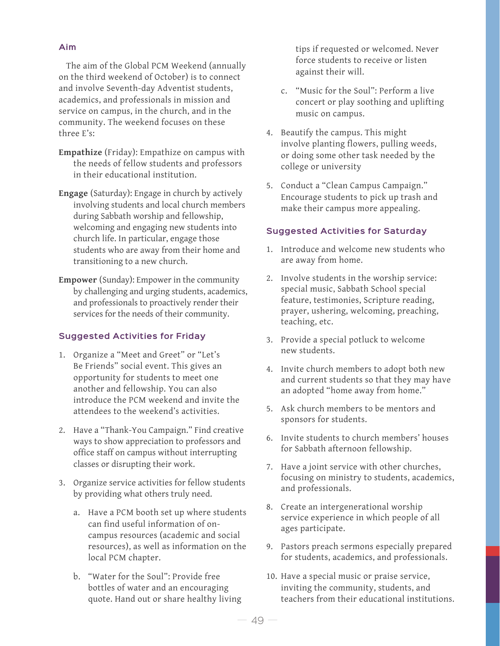#### **Aim**

The aim of the Global PCM Weekend (annually on the third weekend of October) is to connect and involve Seventh-day Adventist students, academics, and professionals in mission and service on campus, in the church, and in the community. The weekend focuses on these three E's:

- **Empathize** (Friday): Empathize on campus with the needs of fellow students and professors in their educational institution.
- **Engage** (Saturday): Engage in church by actively involving students and local church members during Sabbath worship and fellowship, welcoming and engaging new students into church life. In particular, engage those students who are away from their home and transitioning to a new church.
- **Empower** (Sunday): Empower in the community by challenging and urging students, academics, and professionals to proactively render their services for the needs of their community.

#### **Suggested Activities for Friday**

- 1. Organize a "Meet and Greet" or "Let's Be Friends" social event. This gives an opportunity for students to meet one another and fellowship. You can also introduce the PCM weekend and invite the attendees to the weekend's activities.
- 2. Have a "Thank-You Campaign." Find creative ways to show appreciation to professors and office staff on campus without interrupting classes or disrupting their work.
- 3. Organize service activities for fellow students by providing what others truly need.
	- a. Have a PCM booth set up where students can find useful information of oncampus resources (academic and social resources), as well as information on the local PCM chapter.
	- b. "Water for the Soul": Provide free bottles of water and an encouraging quote. Hand out or share healthy living

tips if requested or welcomed. Never force students to receive or listen against their will.

- c. "Music for the Soul": Perform a live concert or play soothing and uplifting music on campus.
- 4. Beautify the campus. This might involve planting flowers, pulling weeds, or doing some other task needed by the college or university
- 5. Conduct a "Clean Campus Campaign." Encourage students to pick up trash and make their campus more appealing.

#### **Suggested Activities for Saturday**

- 1. Introduce and welcome new students who are away from home.
- 2. Involve students in the worship service: special music, Sabbath School special feature, testimonies, Scripture reading, prayer, ushering, welcoming, preaching, teaching, etc.
- 3. Provide a special potluck to welcome new students.
- 4. Invite church members to adopt both new and current students so that they may have an adopted "home away from home."
- 5. Ask church members to be mentors and sponsors for students.
- 6. Invite students to church members' houses for Sabbath afternoon fellowship.
- 7. Have a joint service with other churches, focusing on ministry to students, academics, and professionals.
- 8. Create an intergenerational worship service experience in which people of all ages participate.
- 9. Pastors preach sermons especially prepared for students, academics, and professionals.
- 10. Have a special music or praise service, inviting the community, students, and teachers from their educational institutions.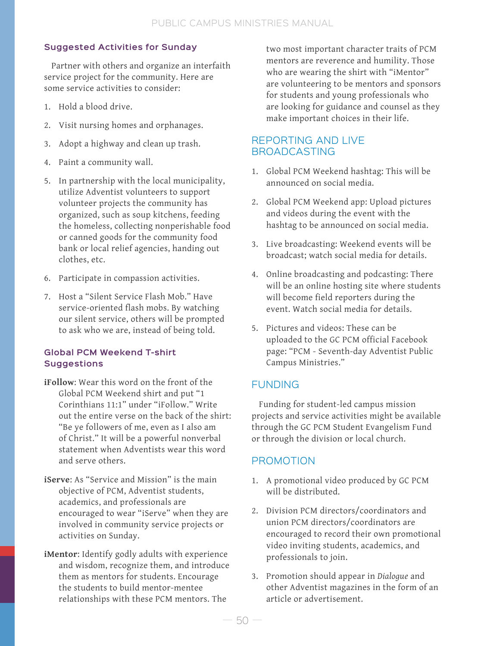### **Suggested Activities for Sunday**

Partner with others and organize an interfaith service project for the community. Here are some service activities to consider:

- 1. Hold a blood drive.
- 2. Visit nursing homes and orphanages.
- 3. Adopt a highway and clean up trash.
- 4. Paint a community wall.
- 5. In partnership with the local municipality, utilize Adventist volunteers to support volunteer projects the community has organized, such as soup kitchens, feeding the homeless, collecting nonperishable food or canned goods for the community food bank or local relief agencies, handing out clothes, etc.
- 6. Participate in compassion activities.
- 7. Host a "Silent Service Flash Mob." Have service-oriented flash mobs. By watching our silent service, others will be prompted to ask who we are, instead of being told.

#### **Global PCM Weekend T-shirt Suggestions**

- **iFollow**: Wear this word on the front of the Global PCM Weekend shirt and put "1 Corinthians 11:1" under "iFollow." Write out the entire verse on the back of the shirt: "Be ye followers of me, even as I also am of Christ." It will be a powerful nonverbal statement when Adventists wear this word and serve others.
- **iServe**: As "Service and Mission" is the main objective of PCM, Adventist students, academics, and professionals are encouraged to wear "iServe" when they are involved in community service projects or activities on Sunday.
- **iMentor**: Identify godly adults with experience and wisdom, recognize them, and introduce them as mentors for students. Encourage the students to build mentor-mentee relationships with these PCM mentors. The

two most important character traits of PCM mentors are reverence and humility. Those who are wearing the shirt with "iMentor" are volunteering to be mentors and sponsors for students and young professionals who are looking for guidance and counsel as they make important choices in their life.

## REPORTING AND LIVE BROADCASTING

- 1. Global PCM Weekend hashtag: This will be announced on social media.
- 2. Global PCM Weekend app: Upload pictures and videos during the event with the hashtag to be announced on social media.
- 3. Live broadcasting: Weekend events will be broadcast; watch social media for details.
- 4. Online broadcasting and podcasting: There will be an online hosting site where students will become field reporters during the event. Watch social media for details.
- 5. Pictures and videos: These can be uploaded to the GC PCM official Facebook page: "PCM - Seventh-day Adventist Public Campus Ministries."

## FUNDING

Funding for student-led campus mission projects and service activities might be available through the GC PCM Student Evangelism Fund or through the division or local church.

## PROMOTION

- 1. A promotional video produced by GC PCM will be distributed.
- 2. Division PCM directors/coordinators and union PCM directors/coordinators are encouraged to record their own promotional video inviting students, academics, and professionals to join.
- 3. Promotion should appear in *Dialogue* and other Adventist magazines in the form of an article or advertisement.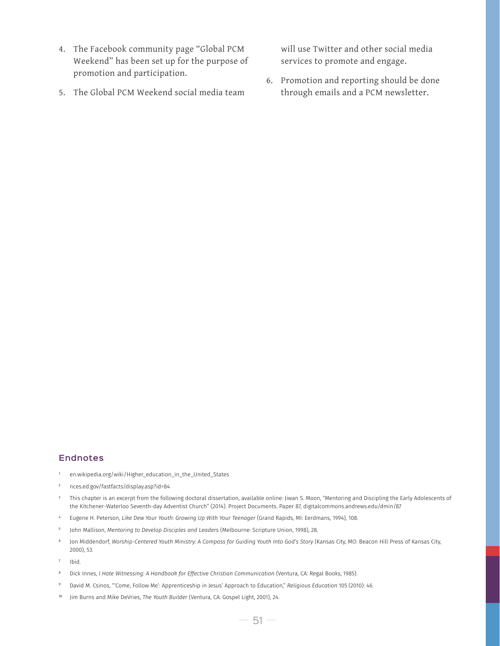- 4. The Facebook community page "Global PCM Weekend" has been set up for the purpose of promotion and participation.
- 5. The Global PCM Weekend social media team

will use Twitter and other social media services to promote and engage.

6. Promotion and reporting should be done through emails and a PCM newsletter.

#### **Endnotes**

- <sup>1</sup> en.wikipedia.org/wiki/Higher\_education\_in\_the\_United\_States
- <sup>2</sup> nces.ed.gov/fastfacts/display.asp?id=84
- <sup>3</sup> This chapter is an excerpt from the following doctoral dissertation, available online: Jiwan S. Moon, "Mentoring and Discipling the Early Adolescents of the Kitchener-Waterloo Seventh-day Adventist Church" (2014). Project Documents. Paper 87, digitalcommons.andrews.edu/dmin/87
- <sup>4</sup> Eugene H. Peterson, *Like Dew Your Youth: Growing Up With Your Teenager* (Grand Rapids, MI: Eerdmans, 1994), 108.
- <sup>5</sup> John Mallison, *Mentoring to Develop Disciples and Leaders* (Melbourne: Scripture Union, 1998), 28.
- <sup>6</sup> Jon Middendorf, *Worship-Centered Youth Ministry: A Compass for Guiding Youth Into God's Story* (Kansas City, MO: Beacon Hill Press of Kansas City, 2000), 53.
- Ibid.
- <sup>8</sup> Dick Innes, *I Hate Witnessing: A Handbook for Effective Christian Communication* (Ventura, CA: Regal Books, 1985).
- <sup>9</sup> David M. Csinos, "'Come, Follow Me': Apprenticeship in Jesus' Approach to Education," *Religious Education* 105 (2010): 46.
- Jim Burns and Mike DeVries, *The Youth Builder* (Ventura, CA: Gospel Light, 2001), 24.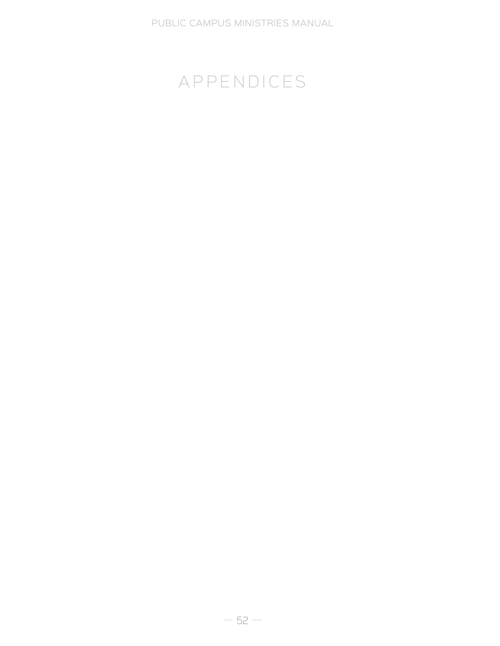# APPENDICES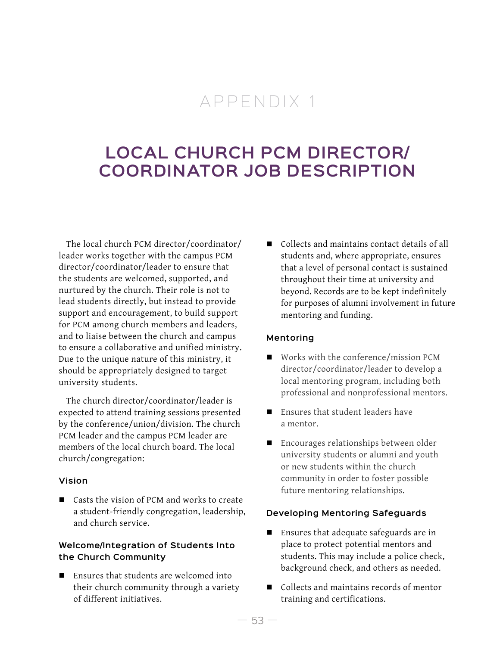## APPENDIX 1

## **LOCAL CHURCH PCM DIRECTOR/ COORDINATOR JOB DESCRIPTION**

The local church PCM director/coordinator/ leader works together with the campus PCM director/coordinator/leader to ensure that the students are welcomed, supported, and nurtured by the church. Their role is not to lead students directly, but instead to provide support and encouragement, to build support for PCM among church members and leaders, and to liaise between the church and campus to ensure a collaborative and unified ministry. Due to the unique nature of this ministry, it should be appropriately designed to target university students.

The church director/coordinator/leader is expected to attend training sessions presented by the conference/union/division. The church PCM leader and the campus PCM leader are members of the local church board. The local church/congregation:

#### **Vision**

■ Casts the vision of PCM and works to create a student-friendly congregation, leadership, and church service.

#### **Welcome/Integration of Students Into the Church Community**

■ Ensures that students are welcomed into their church community through a variety of different initiatives.

■ Collects and maintains contact details of all students and, where appropriate, ensures that a level of personal contact is sustained throughout their time at university and beyond. Records are to be kept indefinitely for purposes of alumni involvement in future mentoring and funding.

#### **Mentoring**

- Works with the conference/mission PCM director/coordinator/leader to develop a local mentoring program, including both professional and nonprofessional mentors.
- $\blacksquare$  Ensures that student leaders have a mentor.
- **Encourages relationships between older** university students or alumni and youth or new students within the church community in order to foster possible future mentoring relationships.

#### **Developing Mentoring Safeguards**

- Ensures that adequate safeguards are in place to protect potential mentors and students. This may include a police check, background check, and others as needed.
- Collects and maintains records of mentor training and certifications.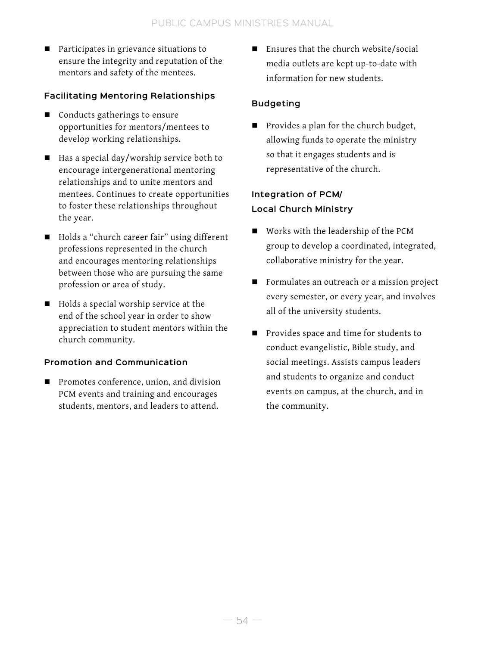Participates in grievance situations to ensure the integrity and reputation of the mentors and safety of the mentees.

#### **Facilitating Mentoring Relationships**

- Conducts gatherings to ensure opportunities for mentors/mentees to develop working relationships.
- $\blacksquare$  Has a special day/worship service both to encourage intergenerational mentoring relationships and to unite mentors and mentees. Continues to create opportunities to foster these relationships throughout the year.
- Holds a "church career fair" using different professions represented in the church and encourages mentoring relationships between those who are pursuing the same profession or area of study.
- $\blacksquare$  Holds a special worship service at the end of the school year in order to show appreciation to student mentors within the church community.

## **Promotion and Communication**

**Promotes conference, union, and division** PCM events and training and encourages students, mentors, and leaders to attend.

 Ensures that the church website/social media outlets are kept up-to-date with information for new students.

## **Budgeting**

**Provides a plan for the church budget,** allowing funds to operate the ministry so that it engages students and is representative of the church.

## **Integration of PCM/ Local Church Ministry**

- Works with the leadership of the PCM group to develop a coordinated, integrated, collaborative ministry for the year.
- Formulates an outreach or a mission project every semester, or every year, and involves all of the university students.
- **Provides space and time for students to** conduct evangelistic, Bible study, and social meetings. Assists campus leaders and students to organize and conduct events on campus, at the church, and in the community.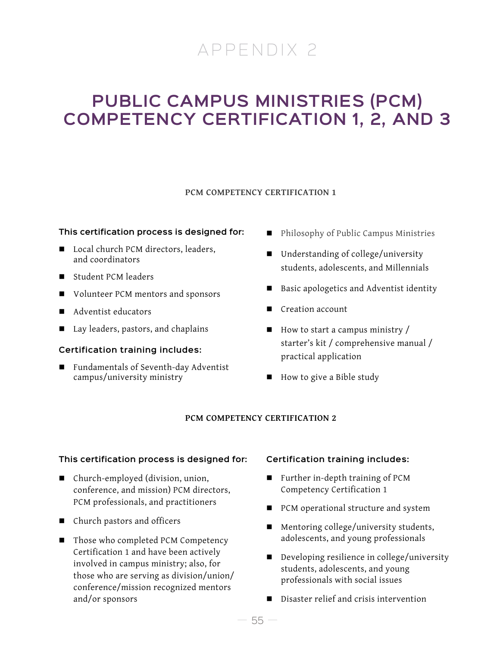# APPENDIX 2

## **PUBLIC CAMPUS MINISTRIES (PCM) COMPETENCY CERTIFICATION 1, 2, AND 3**

#### **PCM COMPETENCY CERTIFICATION 1**

#### **This certification process is designed for:**

- Local church PCM directors, leaders, and coordinators
- Student PCM leaders
- Volunteer PCM mentors and sponsors
- Adventist educators
- Lay leaders, pastors, and chaplains

#### **Certification training includes:**

■ Fundamentals of Seventh-day Adventist campus/university ministry

- Philosophy of Public Campus Ministries
- Understanding of college/university students, adolescents, and Millennials
- Basic apologetics and Adventist identity
- Creation account
- $\blacksquare$  How to start a campus ministry / starter's kit / comprehensive manual / practical application
- How to give a Bible study

#### **PCM COMPETENCY CERTIFICATION 2**

#### **This certification process is designed for:**

- Church-employed (division, union, conference, and mission) PCM directors, PCM professionals, and practitioners
- Church pastors and officers
- Those who completed PCM Competency Certification 1 and have been actively involved in campus ministry; also, for those who are serving as division/union/ conference/mission recognized mentors and/or sponsors

#### **Certification training includes:**

- Further in-depth training of PCM Competency Certification 1
- PCM operational structure and system
- Mentoring college/university students, adolescents, and young professionals
- Developing resilience in college/university students, adolescents, and young professionals with social issues
- Disaster relief and crisis intervention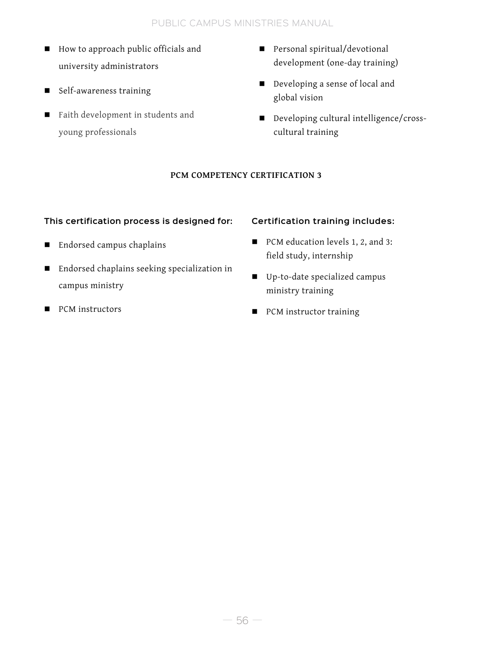### PUBLIC CAMPUS MINISTRIES MANUAL

- How to approach public officials and university administrators
- Self-awareness training
- **Faith development in students and** young professionals
- Personal spiritual/devotional development (one-day training)
- Developing a sense of local and global vision
- Developing cultural intelligence/crosscultural training

#### **PCM COMPETENCY CERTIFICATION 3**

#### **This certification process is designed for:**

- Endorsed campus chaplains
- Endorsed chaplains seeking specialization in campus ministry
- **PCM** instructors

#### **Certification training includes:**

- PCM education levels 1, 2, and 3: field study, internship
- Up-to-date specialized campus ministry training
- PCM instructor training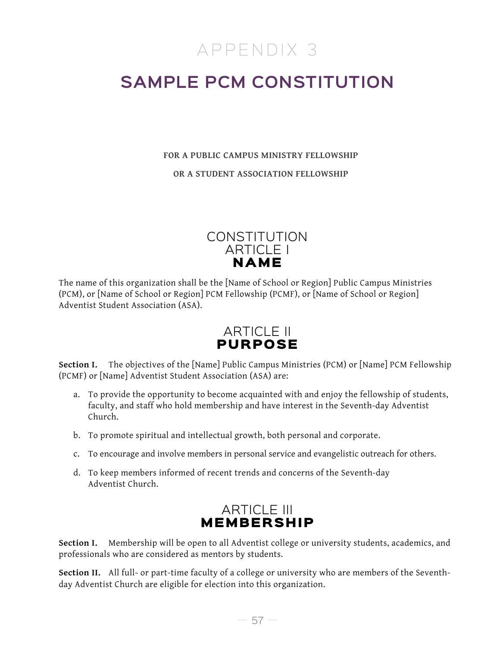## APPENDIX 3

# **SAMPLE PCM CONSTITUTION**

#### **FOR A PUBLIC CAMPUS MINISTRY FELLOWSHIP**

**OR A STUDENT ASSOCIATION FELLOWSHIP**



The name of this organization shall be the [Name of School or Region] Public Campus Ministries (PCM), or [Name of School or Region] PCM Fellowship (PCMF), or [Name of School or Region] Adventist Student Association (ASA).

## ARTICLE II PURPOSE

**Section I.** The objectives of the [Name] Public Campus Ministries (PCM) or [Name] PCM Fellowship (PCMF) or [Name] Adventist Student Association (ASA) are:

- a. To provide the opportunity to become acquainted with and enjoy the fellowship of students, faculty, and staff who hold membership and have interest in the Seventh-day Adventist Church.
- b. To promote spiritual and intellectual growth, both personal and corporate.
- c. To encourage and involve members in personal service and evangelistic outreach for others.
- d. To keep members informed of recent trends and concerns of the Seventh-day Adventist Church.



**Section I.** Membership will be open to all Adventist college or university students, academics, and professionals who are considered as mentors by students.

**Section II.** All full- or part-time faculty of a college or university who are members of the Seventhday Adventist Church are eligible for election into this organization.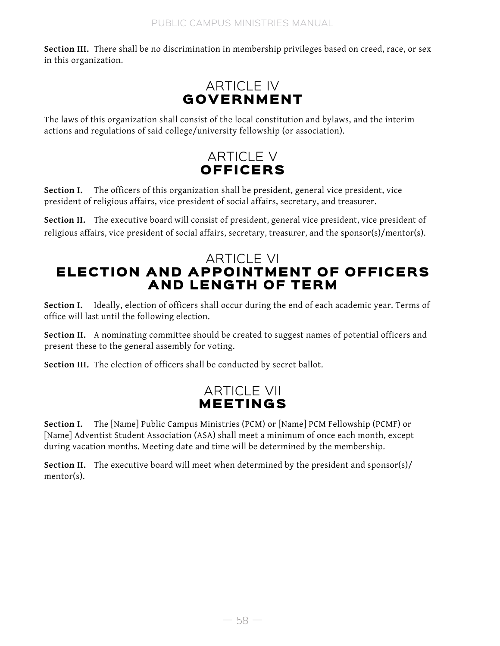**Section III.** There shall be no discrimination in membership privileges based on creed, race, or sex in this organization.



The laws of this organization shall consist of the local constitution and bylaws, and the interim actions and regulations of said college/university fellowship (or association).

## ARTICLE V OFFICERS

Section I. The officers of this organization shall be president, general vice president, vice president of religious affairs, vice president of social affairs, secretary, and treasurer.

Section II. The executive board will consist of president, general vice president, vice president of religious affairs, vice president of social affairs, secretary, treasurer, and the sponsor(s)/mentor(s).

## ARTICLE VI ELECTION AND APPOINTMENT OF OFFICERS AND LENGTH OF TERM

Section I. Ideally, election of officers shall occur during the end of each academic year. Terms of office will last until the following election.

Section II. A nominating committee should be created to suggest names of potential officers and present these to the general assembly for voting.

**Section III.** The election of officers shall be conducted by secret ballot.

## ARTICLE VII MEETINGS

**Section I.** The [Name] Public Campus Ministries (PCM) or [Name] PCM Fellowship (PCMF) or [Name] Adventist Student Association (ASA) shall meet a minimum of once each month, except during vacation months. Meeting date and time will be determined by the membership.

**Section II.** The executive board will meet when determined by the president and sponsor(s)/ mentor(s).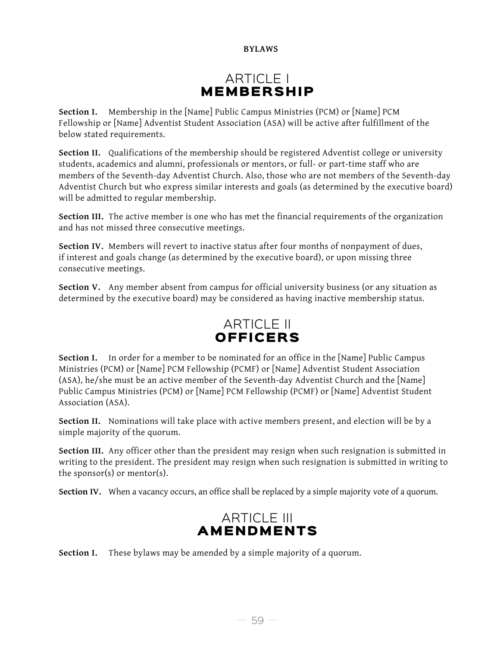#### **BYLAWS**

## ARTICLE I MEMBERSHIP

**Section I.** Membership in the [Name] Public Campus Ministries (PCM) or [Name] PCM Fellowship or [Name] Adventist Student Association (ASA) will be active after fulfillment of the below stated requirements.

**Section II.** Qualifications of the membership should be registered Adventist college or university students, academics and alumni, professionals or mentors, or full- or part-time staff who are members of the Seventh-day Adventist Church. Also, those who are not members of the Seventh-day Adventist Church but who express similar interests and goals (as determined by the executive board) will be admitted to regular membership.

**Section III.** The active member is one who has met the financial requirements of the organization and has not missed three consecutive meetings.

**Section IV.** Members will revert to inactive status after four months of nonpayment of dues, if interest and goals change (as determined by the executive board), or upon missing three consecutive meetings.

Section V. Any member absent from campus for official university business (or any situation as determined by the executive board) may be considered as having inactive membership status.



**Section I.** In order for a member to be nominated for an office in the [Name] Public Campus Ministries (PCM) or [Name] PCM Fellowship (PCMF) or [Name] Adventist Student Association (ASA), he/she must be an active member of the Seventh-day Adventist Church and the [Name] Public Campus Ministries (PCM) or [Name] PCM Fellowship (PCMF) or [Name] Adventist Student Association (ASA).

**Section II.** Nominations will take place with active members present, and election will be by a simple majority of the quorum.

**Section III.** Any officer other than the president may resign when such resignation is submitted in writing to the president. The president may resign when such resignation is submitted in writing to the sponsor(s) or mentor(s).

**Section IV.** When a vacancy occurs, an office shall be replaced by a simple majority vote of a quorum.



**Section I.** These bylaws may be amended by a simple majority of a quorum.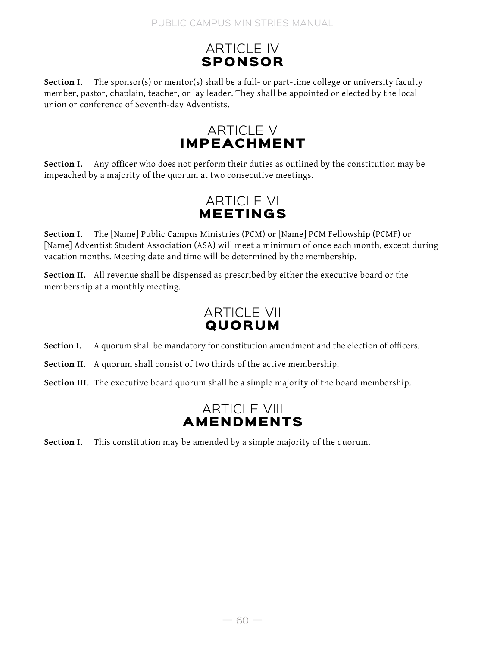## ARTICLE IV SPONSOR

**Section I.** The sponsor(s) or mentor(s) shall be a full- or part-time college or university faculty member, pastor, chaplain, teacher, or lay leader. They shall be appointed or elected by the local union or conference of Seventh-day Adventists.

## ARTICLE V IMPEACHMENT

Section I. Any officer who does not perform their duties as outlined by the constitution may be impeached by a majority of the quorum at two consecutive meetings.

## ARTICLE VI MEETINGS

**Section I.** The [Name] Public Campus Ministries (PCM) or [Name] PCM Fellowship (PCMF) or [Name] Adventist Student Association (ASA) will meet a minimum of once each month, except during vacation months. Meeting date and time will be determined by the membership.

**Section II.** All revenue shall be dispensed as prescribed by either the executive board or the membership at a monthly meeting.

## ARTICLE VII **QUORUM**

**Section I.** A quorum shall be mandatory for constitution amendment and the election of officers.

**Section II.** A quorum shall consist of two thirds of the active membership.

**Section III.** The executive board quorum shall be a simple majority of the board membership.

## ARTICLE VIII AMENDMENTS

**Section I.** This constitution may be amended by a simple majority of the quorum.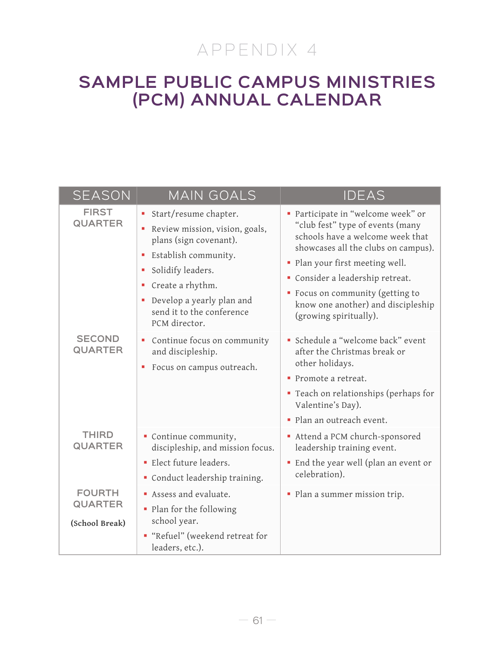# APPENDIX 4

## **SAMPLE PUBLIC CAMPUS MINISTRIES (PCM) ANNUAL CALENDAR**

| <b>SEASON</b>                                     | <b>MAIN GOALS</b>                                                                                                                                                                                                                                              | <b>IDEAS</b>                                                                                                                                                                                                                                                                                                               |
|---------------------------------------------------|----------------------------------------------------------------------------------------------------------------------------------------------------------------------------------------------------------------------------------------------------------------|----------------------------------------------------------------------------------------------------------------------------------------------------------------------------------------------------------------------------------------------------------------------------------------------------------------------------|
| <b>FIRST</b><br><b>QUARTER</b>                    | Start/resume chapter.<br>$\blacksquare$<br>Review mission, vision, goals,<br>plans (sign covenant).<br>Establish community.<br>Solidify leaders.<br>п<br>Create a rhythm.<br>ш<br>Develop a yearly plan and<br>×<br>send it to the conference<br>PCM director. | · Participate in "welcome week" or<br>"club fest" type of events (many<br>schools have a welcome week that<br>showcases all the clubs on campus).<br>• Plan your first meeting well.<br>Consider a leadership retreat.<br>• Focus on community (getting to<br>know one another) and discipleship<br>(growing spiritually). |
| <b>SECOND</b><br><b>QUARTER</b>                   | Continue focus on community<br>and discipleship.<br>Focus on campus outreach.                                                                                                                                                                                  | Schedule a "welcome back" event<br>after the Christmas break or<br>other holidays.<br>• Promote a retreat.<br>" Teach on relationships (perhaps for<br>Valentine's Day).<br>· Plan an outreach event.                                                                                                                      |
| <b>THIRD</b><br><b>QUARTER</b>                    | Continue community,<br>discipleship, and mission focus.<br>· Elect future leaders.<br>Conduct leadership training.                                                                                                                                             | Attend a PCM church-sponsored<br>leadership training event.<br>· End the year well (plan an event or<br>celebration).                                                                                                                                                                                                      |
| <b>FOURTH</b><br><b>QUARTER</b><br>(School Break) | Assess and evaluate.<br>• Plan for the following<br>school year.<br>"Refuel" (weekend retreat for<br>leaders, etc.).                                                                                                                                           | • Plan a summer mission trip.                                                                                                                                                                                                                                                                                              |